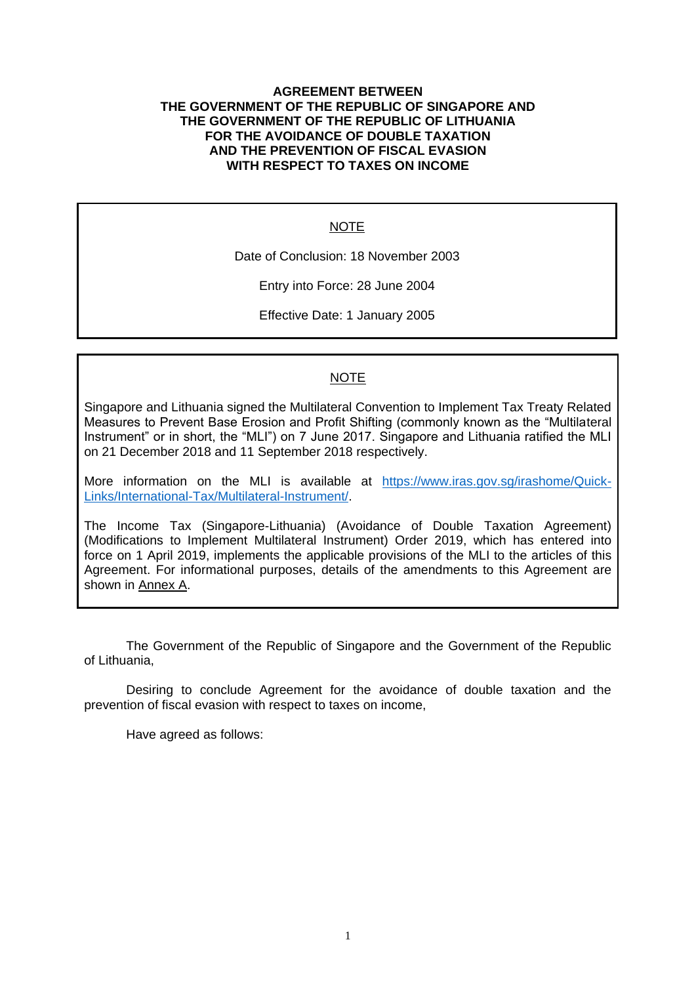#### **AGREEMENT BETWEEN THE GOVERNMENT OF THE REPUBLIC OF SINGAPORE AND THE GOVERNMENT OF THE REPUBLIC OF LITHUANIA FOR THE AVOIDANCE OF DOUBLE TAXATION AND THE PREVENTION OF FISCAL EVASION WITH RESPECT TO TAXES ON INCOME**

## NOTE

Date of Conclusion: 18 November 2003

Entry into Force: 28 June 2004

Effective Date: 1 January 2005

## NOTE

Singapore and Lithuania signed the Multilateral Convention to Implement Tax Treaty Related Measures to Prevent Base Erosion and Profit Shifting (commonly known as the "Multilateral Instrument" or in short, the "MLI") on 7 June 2017. Singapore and Lithuania ratified the MLI on 21 December 2018 and 11 September 2018 respectively.

More information on the MLI is available at [https://www.iras.gov.sg/irashome/Quick-](https://www.iras.gov.sg/irashome/Quick-Links/International-Tax/Multilateral-Instrument/)[Links/International-Tax/Multilateral-Instrument/.](https://www.iras.gov.sg/irashome/Quick-Links/International-Tax/Multilateral-Instrument/)

The Income Tax (Singapore-Lithuania) (Avoidance of Double Taxation Agreement) (Modifications to Implement Multilateral Instrument) Order 2019, which has entered into force on 1 April 2019, implements the applicable provisions of the MLI to the articles of this Agreement. For informational purposes, details of the amendments to this Agreement are shown in Annex A.

The Government of the Republic of Singapore and the Government of the Republic of Lithuania,

Desiring to conclude Agreement for the avoidance of double taxation and the prevention of fiscal evasion with respect to taxes on income,

Have agreed as follows: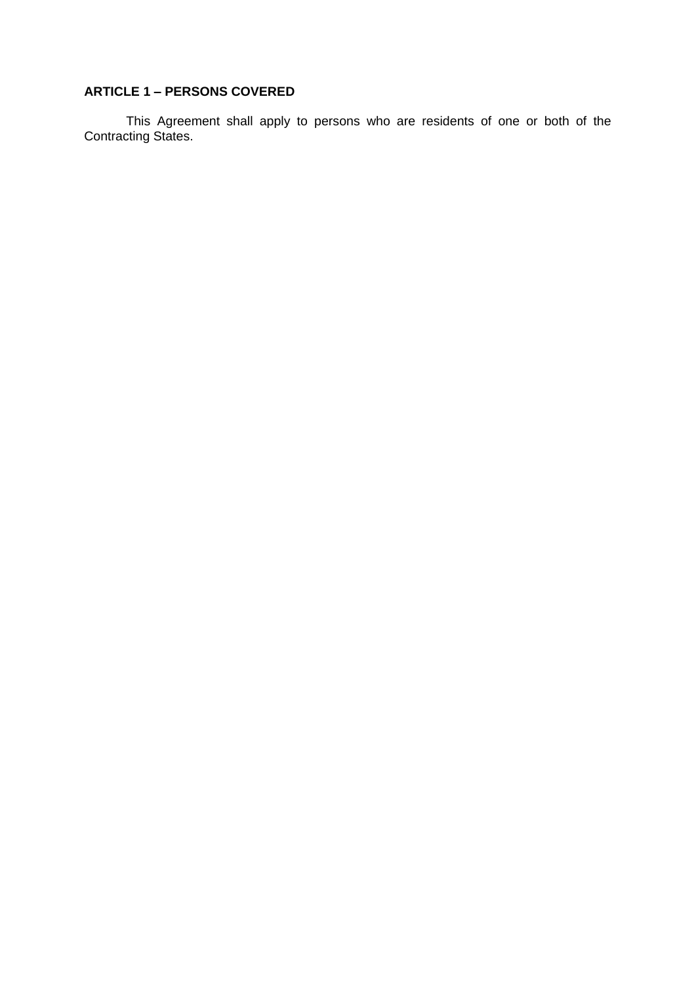# **ARTICLE 1 – PERSONS COVERED**

This Agreement shall apply to persons who are residents of one or both of the Contracting States.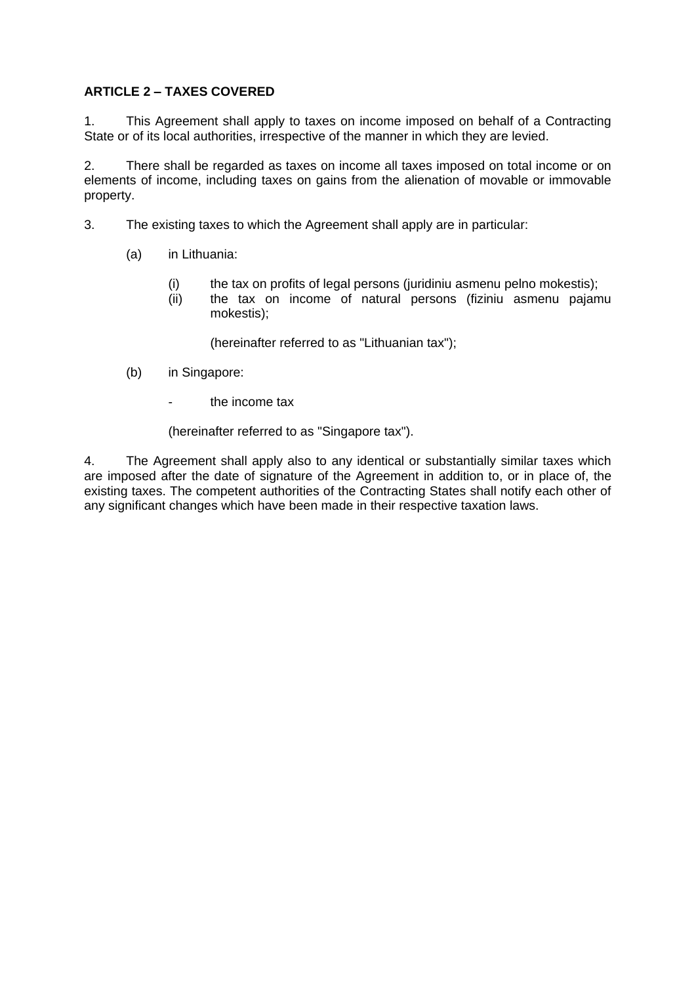## **ARTICLE 2 – TAXES COVERED**

1. This Agreement shall apply to taxes on income imposed on behalf of a Contracting State or of its local authorities, irrespective of the manner in which they are levied.

2. There shall be regarded as taxes on income all taxes imposed on total income or on elements of income, including taxes on gains from the alienation of movable or immovable property.

- 3. The existing taxes to which the Agreement shall apply are in particular:
	- (a) in Lithuania:
		- (i) the tax on profits of legal persons (juridiniu asmenu pelno mokestis);
		- (ii) the tax on income of natural persons (fiziniu asmenu pajamu mokestis);

(hereinafter referred to as "Lithuanian tax");

- (b) in Singapore:
	- the income tax

(hereinafter referred to as "Singapore tax").

4. The Agreement shall apply also to any identical or substantially similar taxes which are imposed after the date of signature of the Agreement in addition to, or in place of, the existing taxes. The competent authorities of the Contracting States shall notify each other of any significant changes which have been made in their respective taxation laws.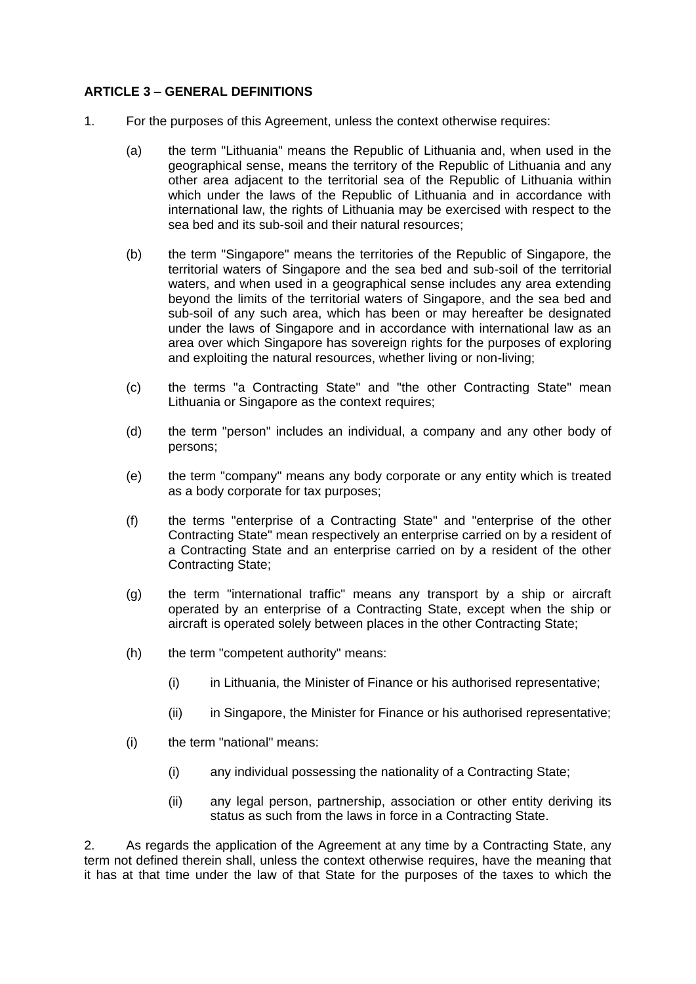## **ARTICLE 3 – GENERAL DEFINITIONS**

- 1. For the purposes of this Agreement, unless the context otherwise requires:
	- (a) the term "Lithuania" means the Republic of Lithuania and, when used in the geographical sense, means the territory of the Republic of Lithuania and any other area adjacent to the territorial sea of the Republic of Lithuania within which under the laws of the Republic of Lithuania and in accordance with international law, the rights of Lithuania may be exercised with respect to the sea bed and its sub-soil and their natural resources;
	- (b) the term "Singapore" means the territories of the Republic of Singapore, the territorial waters of Singapore and the sea bed and sub-soil of the territorial waters, and when used in a geographical sense includes any area extending beyond the limits of the territorial waters of Singapore, and the sea bed and sub-soil of any such area, which has been or may hereafter be designated under the laws of Singapore and in accordance with international law as an area over which Singapore has sovereign rights for the purposes of exploring and exploiting the natural resources, whether living or non-living;
	- (c) the terms "a Contracting State" and "the other Contracting State" mean Lithuania or Singapore as the context requires;
	- (d) the term "person" includes an individual, a company and any other body of persons;
	- (e) the term "company" means any body corporate or any entity which is treated as a body corporate for tax purposes;
	- (f) the terms "enterprise of a Contracting State" and "enterprise of the other Contracting State" mean respectively an enterprise carried on by a resident of a Contracting State and an enterprise carried on by a resident of the other Contracting State;
	- (g) the term "international traffic" means any transport by a ship or aircraft operated by an enterprise of a Contracting State, except when the ship or aircraft is operated solely between places in the other Contracting State;
	- (h) the term "competent authority" means:
		- (i) in Lithuania, the Minister of Finance or his authorised representative;
		- (ii) in Singapore, the Minister for Finance or his authorised representative;
	- (i) the term "national" means:
		- (i) any individual possessing the nationality of a Contracting State;
		- (ii) any legal person, partnership, association or other entity deriving its status as such from the laws in force in a Contracting State.

2. As regards the application of the Agreement at any time by a Contracting State, any term not defined therein shall, unless the context otherwise requires, have the meaning that it has at that time under the law of that State for the purposes of the taxes to which the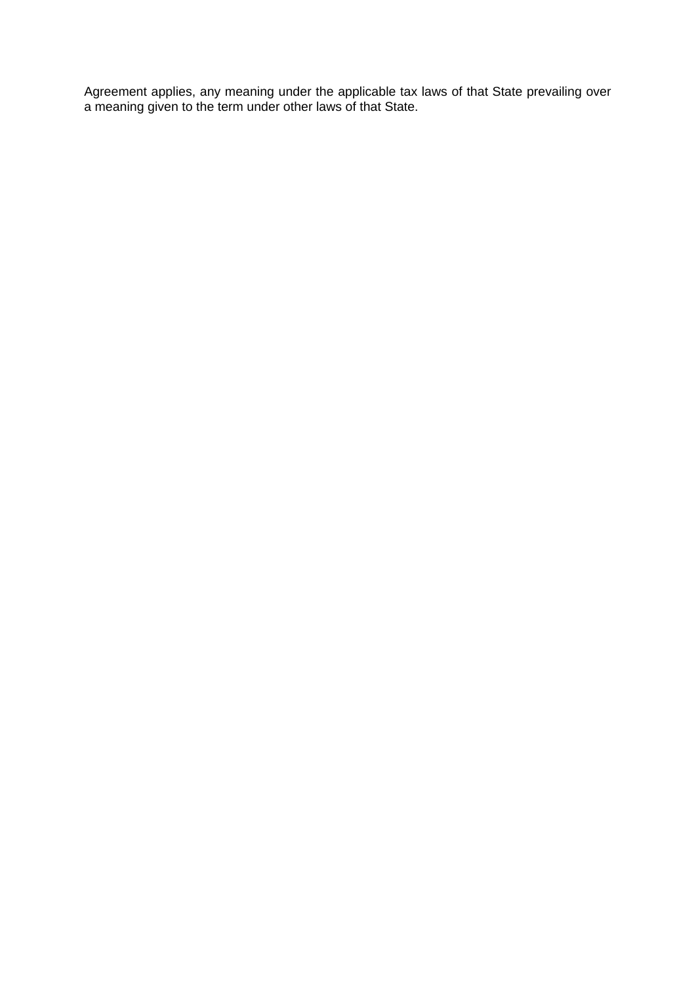Agreement applies, any meaning under the applicable tax laws of that State prevailing over a meaning given to the term under other laws of that State.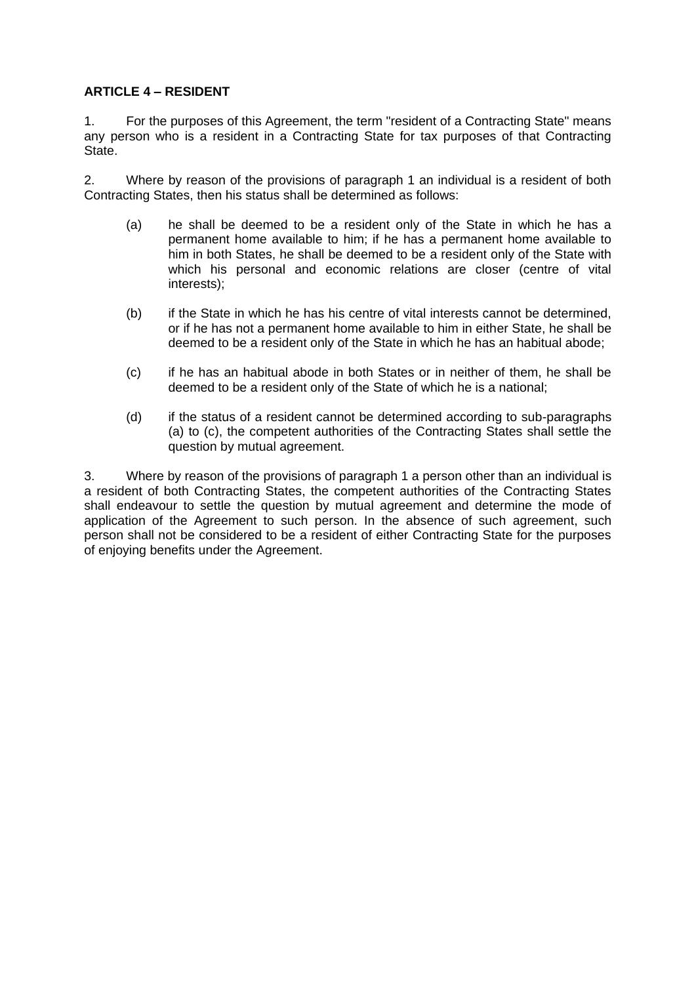## **ARTICLE 4 – RESIDENT**

1. For the purposes of this Agreement, the term "resident of a Contracting State" means any person who is a resident in a Contracting State for tax purposes of that Contracting State.

2. Where by reason of the provisions of paragraph 1 an individual is a resident of both Contracting States, then his status shall be determined as follows:

- (a) he shall be deemed to be a resident only of the State in which he has a permanent home available to him; if he has a permanent home available to him in both States, he shall be deemed to be a resident only of the State with which his personal and economic relations are closer (centre of vital interests);
- (b) if the State in which he has his centre of vital interests cannot be determined, or if he has not a permanent home available to him in either State, he shall be deemed to be a resident only of the State in which he has an habitual abode;
- (c) if he has an habitual abode in both States or in neither of them, he shall be deemed to be a resident only of the State of which he is a national;
- (d) if the status of a resident cannot be determined according to sub-paragraphs (a) to (c), the competent authorities of the Contracting States shall settle the question by mutual agreement.

3. Where by reason of the provisions of paragraph 1 a person other than an individual is a resident of both Contracting States, the competent authorities of the Contracting States shall endeavour to settle the question by mutual agreement and determine the mode of application of the Agreement to such person. In the absence of such agreement, such person shall not be considered to be a resident of either Contracting State for the purposes of enjoying benefits under the Agreement.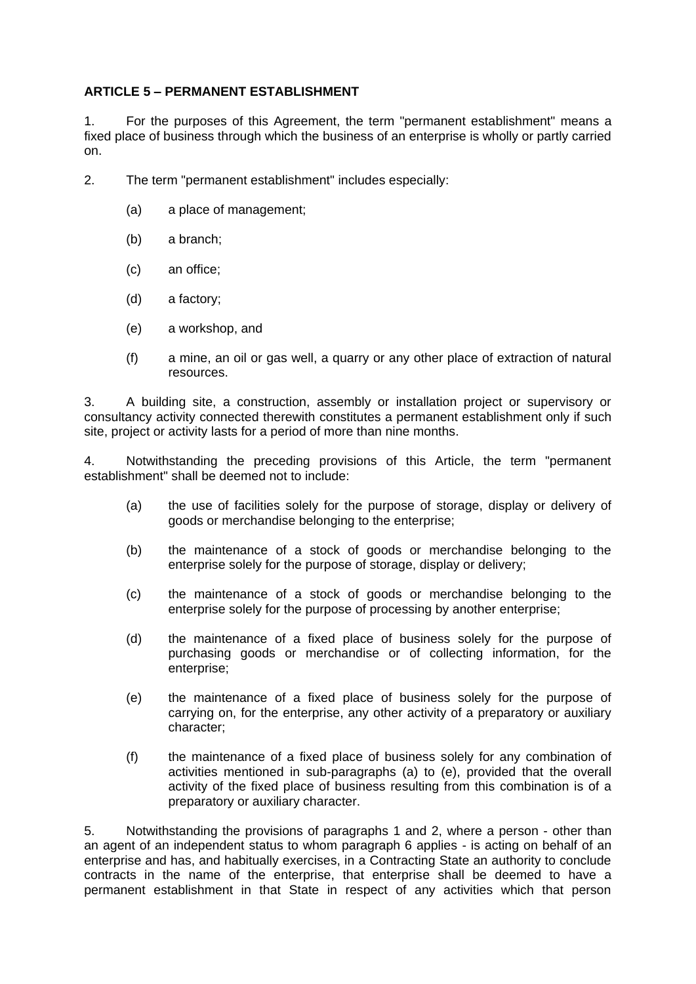## **ARTICLE 5 – PERMANENT ESTABLISHMENT**

1. For the purposes of this Agreement, the term "permanent establishment" means a fixed place of business through which the business of an enterprise is wholly or partly carried on.

- 2. The term "permanent establishment" includes especially:
	- (a) a place of management;
	- (b) a branch;
	- (c) an office;
	- (d) a factory;
	- (e) a workshop, and
	- (f) a mine, an oil or gas well, a quarry or any other place of extraction of natural resources.

3. A building site, a construction, assembly or installation project or supervisory or consultancy activity connected therewith constitutes a permanent establishment only if such site, project or activity lasts for a period of more than nine months.

4. Notwithstanding the preceding provisions of this Article, the term "permanent establishment" shall be deemed not to include:

- (a) the use of facilities solely for the purpose of storage, display or delivery of goods or merchandise belonging to the enterprise;
- (b) the maintenance of a stock of goods or merchandise belonging to the enterprise solely for the purpose of storage, display or delivery;
- (c) the maintenance of a stock of goods or merchandise belonging to the enterprise solely for the purpose of processing by another enterprise;
- (d) the maintenance of a fixed place of business solely for the purpose of purchasing goods or merchandise or of collecting information, for the enterprise;
- (e) the maintenance of a fixed place of business solely for the purpose of carrying on, for the enterprise, any other activity of a preparatory or auxiliary character;
- (f) the maintenance of a fixed place of business solely for any combination of activities mentioned in sub-paragraphs (a) to (e), provided that the overall activity of the fixed place of business resulting from this combination is of a preparatory or auxiliary character.

5. Notwithstanding the provisions of paragraphs 1 and 2, where a person - other than an agent of an independent status to whom paragraph 6 applies - is acting on behalf of an enterprise and has, and habitually exercises, in a Contracting State an authority to conclude contracts in the name of the enterprise, that enterprise shall be deemed to have a permanent establishment in that State in respect of any activities which that person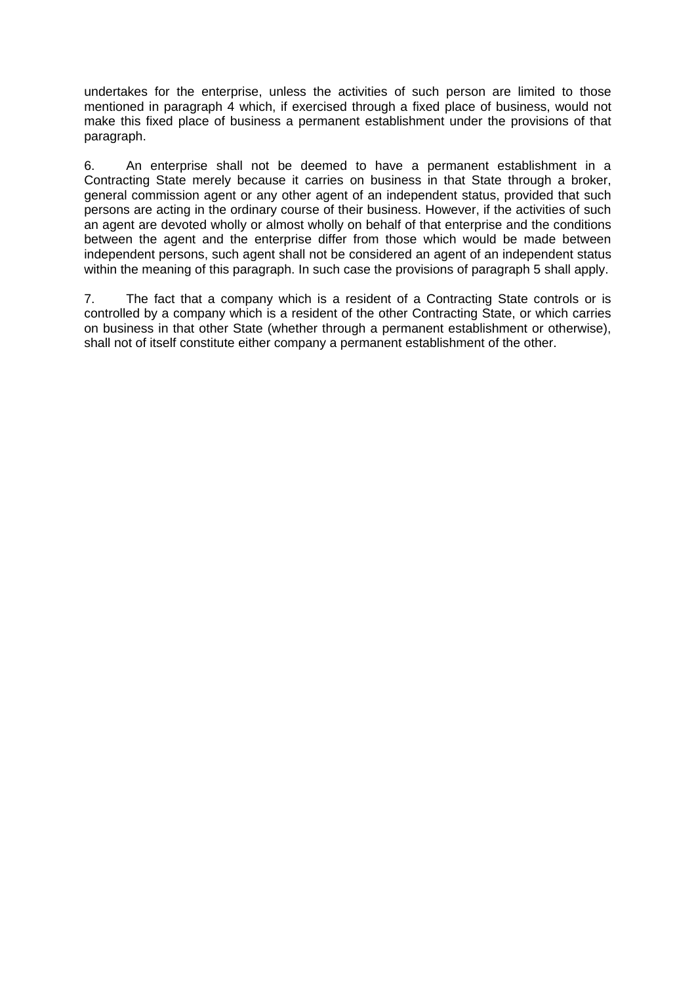undertakes for the enterprise, unless the activities of such person are limited to those mentioned in paragraph 4 which, if exercised through a fixed place of business, would not make this fixed place of business a permanent establishment under the provisions of that paragraph.

6. An enterprise shall not be deemed to have a permanent establishment in a Contracting State merely because it carries on business in that State through a broker, general commission agent or any other agent of an independent status, provided that such persons are acting in the ordinary course of their business. However, if the activities of such an agent are devoted wholly or almost wholly on behalf of that enterprise and the conditions between the agent and the enterprise differ from those which would be made between independent persons, such agent shall not be considered an agent of an independent status within the meaning of this paragraph. In such case the provisions of paragraph 5 shall apply.

7. The fact that a company which is a resident of a Contracting State controls or is controlled by a company which is a resident of the other Contracting State, or which carries on business in that other State (whether through a permanent establishment or otherwise), shall not of itself constitute either company a permanent establishment of the other.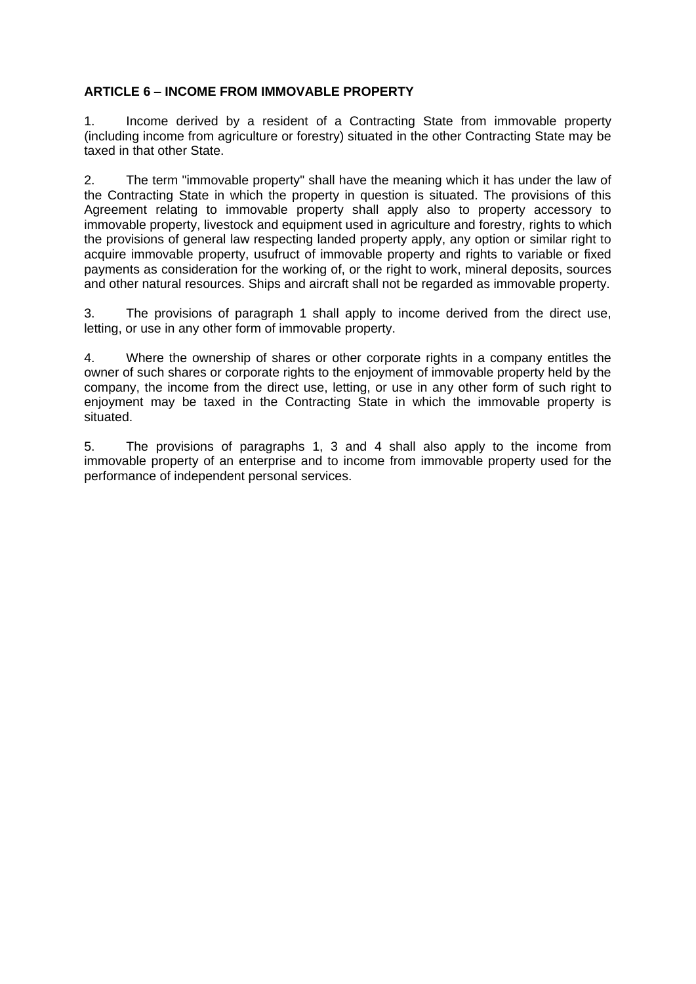## **ARTICLE 6 – INCOME FROM IMMOVABLE PROPERTY**

1. Income derived by a resident of a Contracting State from immovable property (including income from agriculture or forestry) situated in the other Contracting State may be taxed in that other State.

2. The term "immovable property" shall have the meaning which it has under the law of the Contracting State in which the property in question is situated. The provisions of this Agreement relating to immovable property shall apply also to property accessory to immovable property, livestock and equipment used in agriculture and forestry, rights to which the provisions of general law respecting landed property apply, any option or similar right to acquire immovable property, usufruct of immovable property and rights to variable or fixed payments as consideration for the working of, or the right to work, mineral deposits, sources and other natural resources. Ships and aircraft shall not be regarded as immovable property.

3. The provisions of paragraph 1 shall apply to income derived from the direct use, letting, or use in any other form of immovable property.

4. Where the ownership of shares or other corporate rights in a company entitles the owner of such shares or corporate rights to the enjoyment of immovable property held by the company, the income from the direct use, letting, or use in any other form of such right to enjoyment may be taxed in the Contracting State in which the immovable property is situated.

5. The provisions of paragraphs 1, 3 and 4 shall also apply to the income from immovable property of an enterprise and to income from immovable property used for the performance of independent personal services.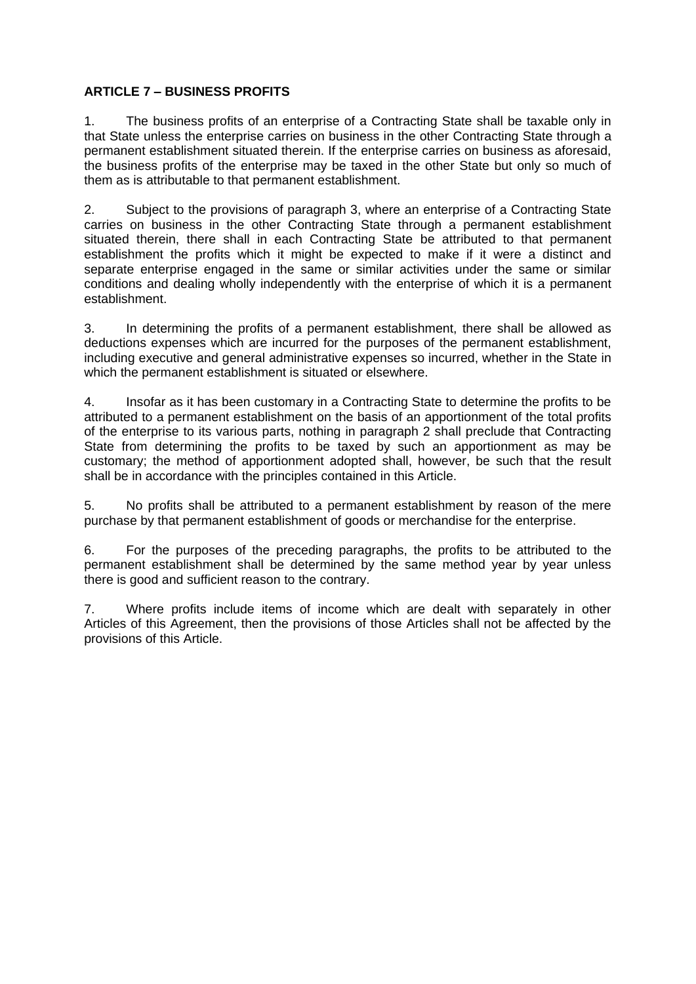## **ARTICLE 7 – BUSINESS PROFITS**

1. The business profits of an enterprise of a Contracting State shall be taxable only in that State unless the enterprise carries on business in the other Contracting State through a permanent establishment situated therein. If the enterprise carries on business as aforesaid, the business profits of the enterprise may be taxed in the other State but only so much of them as is attributable to that permanent establishment.

2. Subject to the provisions of paragraph 3, where an enterprise of a Contracting State carries on business in the other Contracting State through a permanent establishment situated therein, there shall in each Contracting State be attributed to that permanent establishment the profits which it might be expected to make if it were a distinct and separate enterprise engaged in the same or similar activities under the same or similar conditions and dealing wholly independently with the enterprise of which it is a permanent establishment.

3. In determining the profits of a permanent establishment, there shall be allowed as deductions expenses which are incurred for the purposes of the permanent establishment, including executive and general administrative expenses so incurred, whether in the State in which the permanent establishment is situated or elsewhere.

4. Insofar as it has been customary in a Contracting State to determine the profits to be attributed to a permanent establishment on the basis of an apportionment of the total profits of the enterprise to its various parts, nothing in paragraph 2 shall preclude that Contracting State from determining the profits to be taxed by such an apportionment as may be customary; the method of apportionment adopted shall, however, be such that the result shall be in accordance with the principles contained in this Article.

5. No profits shall be attributed to a permanent establishment by reason of the mere purchase by that permanent establishment of goods or merchandise for the enterprise.

6. For the purposes of the preceding paragraphs, the profits to be attributed to the permanent establishment shall be determined by the same method year by year unless there is good and sufficient reason to the contrary.

7. Where profits include items of income which are dealt with separately in other Articles of this Agreement, then the provisions of those Articles shall not be affected by the provisions of this Article.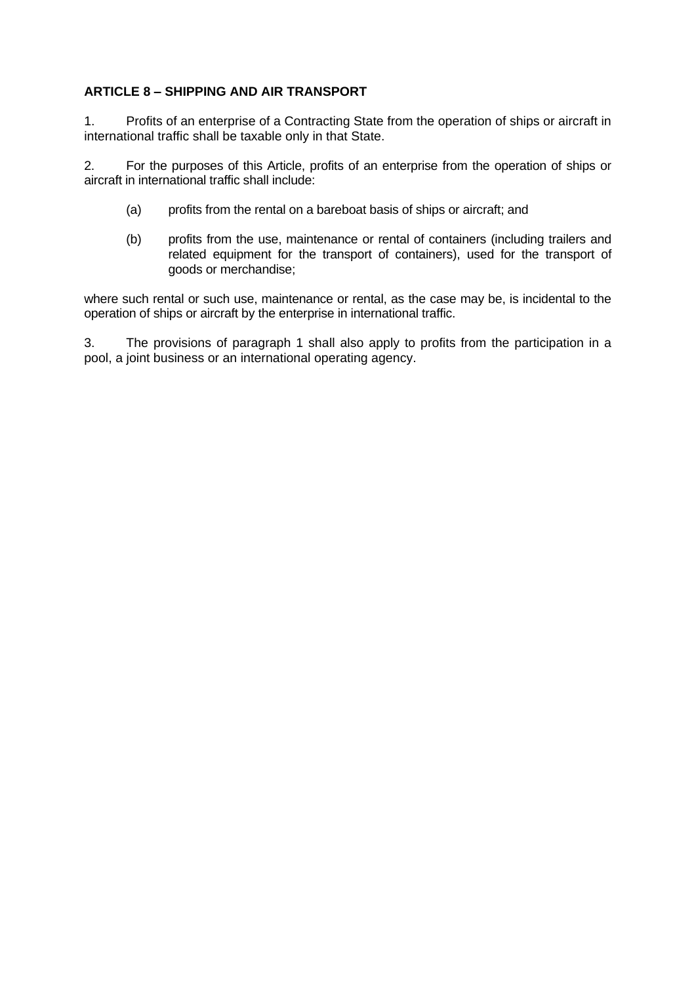## **ARTICLE 8 – SHIPPING AND AIR TRANSPORT**

1. Profits of an enterprise of a Contracting State from the operation of ships or aircraft in international traffic shall be taxable only in that State.

2. For the purposes of this Article, profits of an enterprise from the operation of ships or aircraft in international traffic shall include:

- (a) profits from the rental on a bareboat basis of ships or aircraft; and
- (b) profits from the use, maintenance or rental of containers (including trailers and related equipment for the transport of containers), used for the transport of goods or merchandise;

where such rental or such use, maintenance or rental, as the case may be, is incidental to the operation of ships or aircraft by the enterprise in international traffic.

3. The provisions of paragraph 1 shall also apply to profits from the participation in a pool, a joint business or an international operating agency.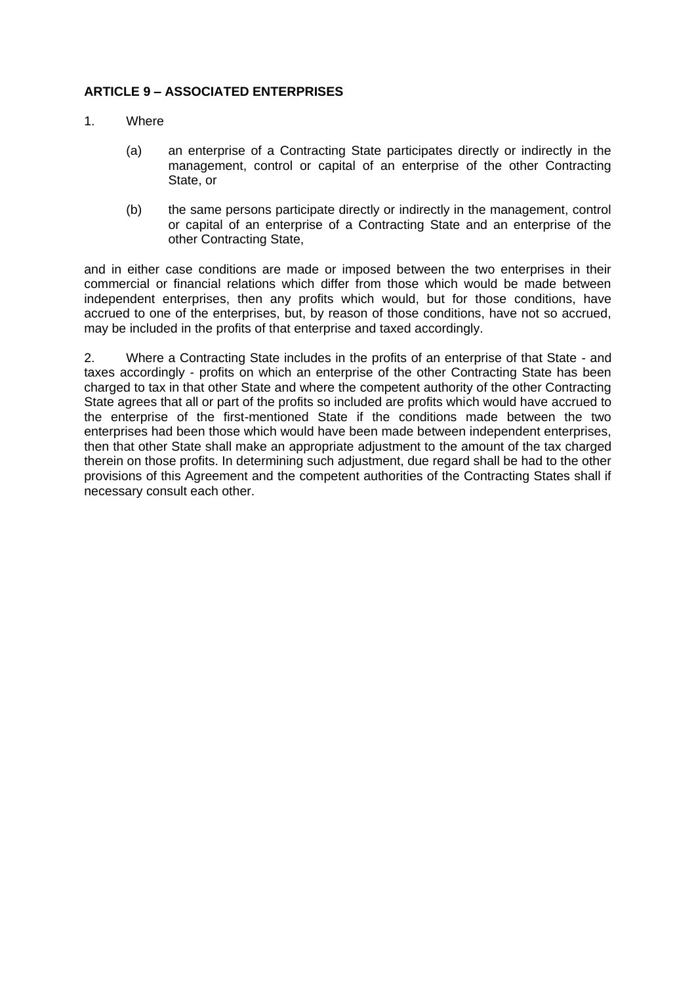## **ARTICLE 9 – ASSOCIATED ENTERPRISES**

- 1. Where
	- (a) an enterprise of a Contracting State participates directly or indirectly in the management, control or capital of an enterprise of the other Contracting State, or
	- (b) the same persons participate directly or indirectly in the management, control or capital of an enterprise of a Contracting State and an enterprise of the other Contracting State,

and in either case conditions are made or imposed between the two enterprises in their commercial or financial relations which differ from those which would be made between independent enterprises, then any profits which would, but for those conditions, have accrued to one of the enterprises, but, by reason of those conditions, have not so accrued, may be included in the profits of that enterprise and taxed accordingly.

2. Where a Contracting State includes in the profits of an enterprise of that State - and taxes accordingly - profits on which an enterprise of the other Contracting State has been charged to tax in that other State and where the competent authority of the other Contracting State agrees that all or part of the profits so included are profits which would have accrued to the enterprise of the first-mentioned State if the conditions made between the two enterprises had been those which would have been made between independent enterprises, then that other State shall make an appropriate adjustment to the amount of the tax charged therein on those profits. In determining such adjustment, due regard shall be had to the other provisions of this Agreement and the competent authorities of the Contracting States shall if necessary consult each other.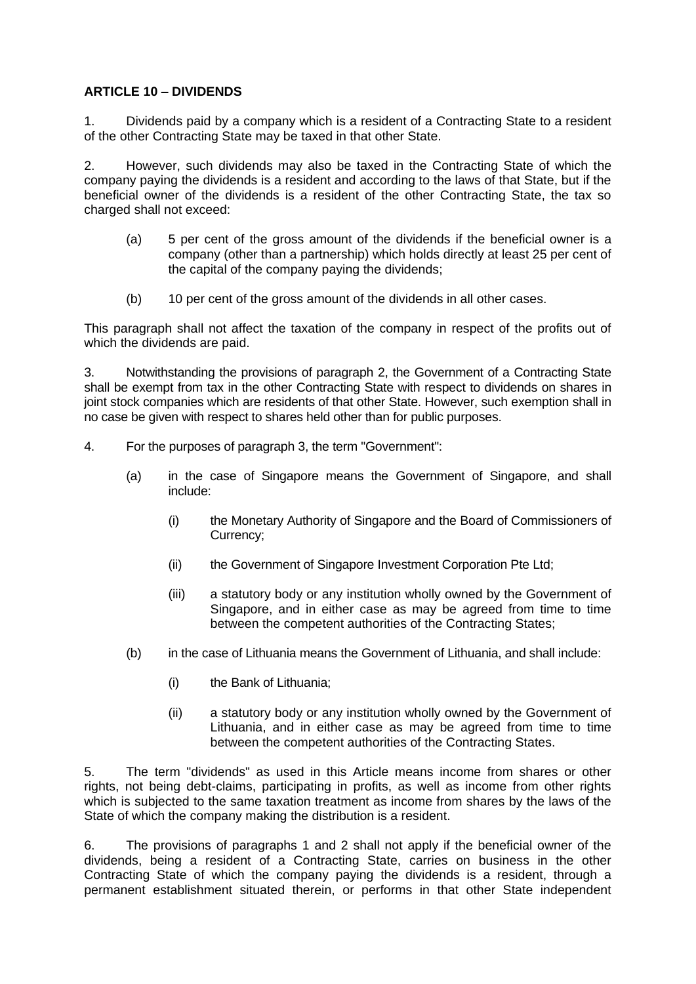## **ARTICLE 10 – DIVIDENDS**

1. Dividends paid by a company which is a resident of a Contracting State to a resident of the other Contracting State may be taxed in that other State.

2. However, such dividends may also be taxed in the Contracting State of which the company paying the dividends is a resident and according to the laws of that State, but if the beneficial owner of the dividends is a resident of the other Contracting State, the tax so charged shall not exceed:

- (a) 5 per cent of the gross amount of the dividends if the beneficial owner is a company (other than a partnership) which holds directly at least 25 per cent of the capital of the company paying the dividends;
- (b) 10 per cent of the gross amount of the dividends in all other cases.

This paragraph shall not affect the taxation of the company in respect of the profits out of which the dividends are paid.

3. Notwithstanding the provisions of paragraph 2, the Government of a Contracting State shall be exempt from tax in the other Contracting State with respect to dividends on shares in joint stock companies which are residents of that other State. However, such exemption shall in no case be given with respect to shares held other than for public purposes.

- 4. For the purposes of paragraph 3, the term "Government":
	- (a) in the case of Singapore means the Government of Singapore, and shall include:
		- (i) the Monetary Authority of Singapore and the Board of Commissioners of Currency;
		- (ii) the Government of Singapore Investment Corporation Pte Ltd;
		- (iii) a statutory body or any institution wholly owned by the Government of Singapore, and in either case as may be agreed from time to time between the competent authorities of the Contracting States;
	- (b) in the case of Lithuania means the Government of Lithuania, and shall include:
		- (i) the Bank of Lithuania;
		- (ii) a statutory body or any institution wholly owned by the Government of Lithuania, and in either case as may be agreed from time to time between the competent authorities of the Contracting States.

5. The term "dividends" as used in this Article means income from shares or other rights, not being debt-claims, participating in profits, as well as income from other rights which is subjected to the same taxation treatment as income from shares by the laws of the State of which the company making the distribution is a resident.

6. The provisions of paragraphs 1 and 2 shall not apply if the beneficial owner of the dividends, being a resident of a Contracting State, carries on business in the other Contracting State of which the company paying the dividends is a resident, through a permanent establishment situated therein, or performs in that other State independent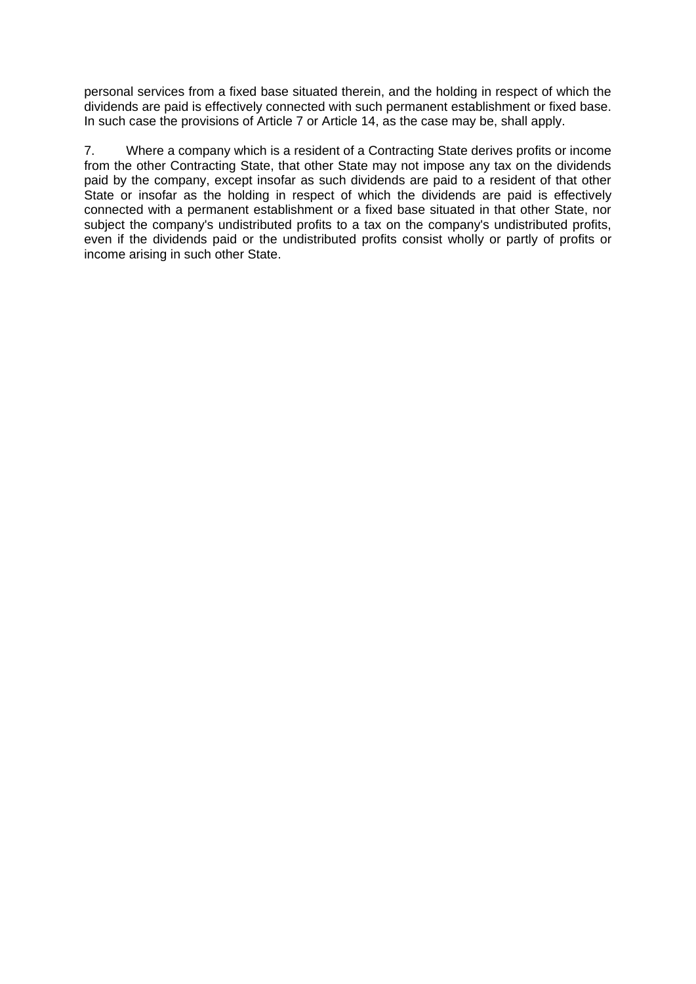personal services from a fixed base situated therein, and the holding in respect of which the dividends are paid is effectively connected with such permanent establishment or fixed base. In such case the provisions of Article 7 or Article 14, as the case may be, shall apply.

7. Where a company which is a resident of a Contracting State derives profits or income from the other Contracting State, that other State may not impose any tax on the dividends paid by the company, except insofar as such dividends are paid to a resident of that other State or insofar as the holding in respect of which the dividends are paid is effectively connected with a permanent establishment or a fixed base situated in that other State, nor subject the company's undistributed profits to a tax on the company's undistributed profits, even if the dividends paid or the undistributed profits consist wholly or partly of profits or income arising in such other State.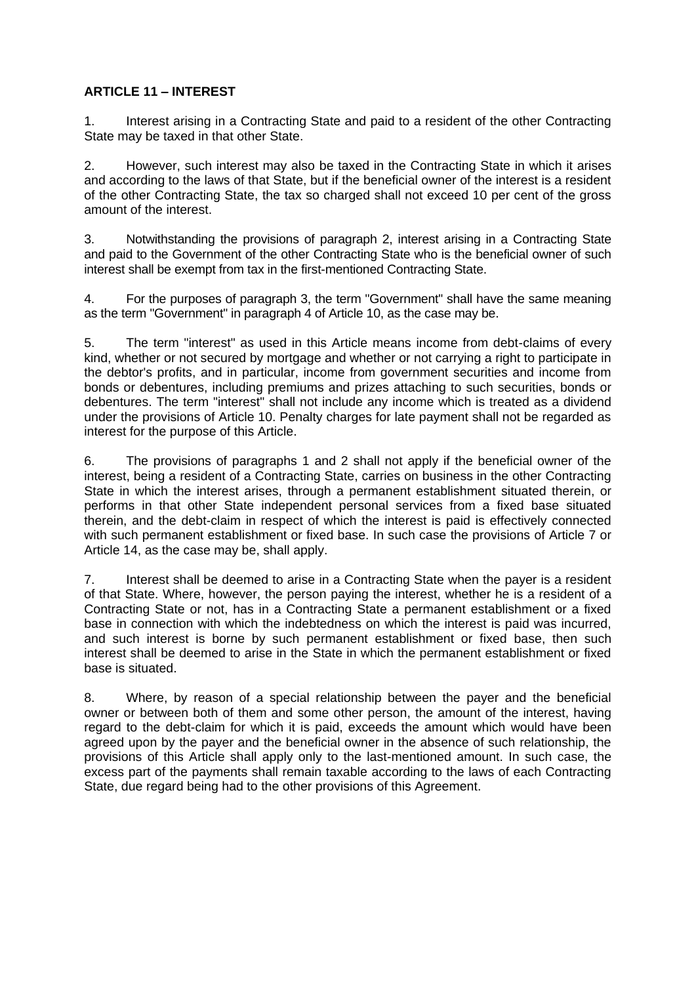## **ARTICLE 11 – INTEREST**

1. Interest arising in a Contracting State and paid to a resident of the other Contracting State may be taxed in that other State.

2. However, such interest may also be taxed in the Contracting State in which it arises and according to the laws of that State, but if the beneficial owner of the interest is a resident of the other Contracting State, the tax so charged shall not exceed 10 per cent of the gross amount of the interest.

3. Notwithstanding the provisions of paragraph 2, interest arising in a Contracting State and paid to the Government of the other Contracting State who is the beneficial owner of such interest shall be exempt from tax in the first-mentioned Contracting State.

4. For the purposes of paragraph 3, the term "Government" shall have the same meaning as the term "Government" in paragraph 4 of Article 10, as the case may be.

5. The term "interest" as used in this Article means income from debt-claims of every kind, whether or not secured by mortgage and whether or not carrying a right to participate in the debtor's profits, and in particular, income from government securities and income from bonds or debentures, including premiums and prizes attaching to such securities, bonds or debentures. The term "interest" shall not include any income which is treated as a dividend under the provisions of Article 10. Penalty charges for late payment shall not be regarded as interest for the purpose of this Article.

6. The provisions of paragraphs 1 and 2 shall not apply if the beneficial owner of the interest, being a resident of a Contracting State, carries on business in the other Contracting State in which the interest arises, through a permanent establishment situated therein, or performs in that other State independent personal services from a fixed base situated therein, and the debt-claim in respect of which the interest is paid is effectively connected with such permanent establishment or fixed base. In such case the provisions of Article 7 or Article 14, as the case may be, shall apply.

7. Interest shall be deemed to arise in a Contracting State when the payer is a resident of that State. Where, however, the person paying the interest, whether he is a resident of a Contracting State or not, has in a Contracting State a permanent establishment or a fixed base in connection with which the indebtedness on which the interest is paid was incurred, and such interest is borne by such permanent establishment or fixed base, then such interest shall be deemed to arise in the State in which the permanent establishment or fixed base is situated.

8. Where, by reason of a special relationship between the payer and the beneficial owner or between both of them and some other person, the amount of the interest, having regard to the debt-claim for which it is paid, exceeds the amount which would have been agreed upon by the payer and the beneficial owner in the absence of such relationship, the provisions of this Article shall apply only to the last-mentioned amount. In such case, the excess part of the payments shall remain taxable according to the laws of each Contracting State, due regard being had to the other provisions of this Agreement.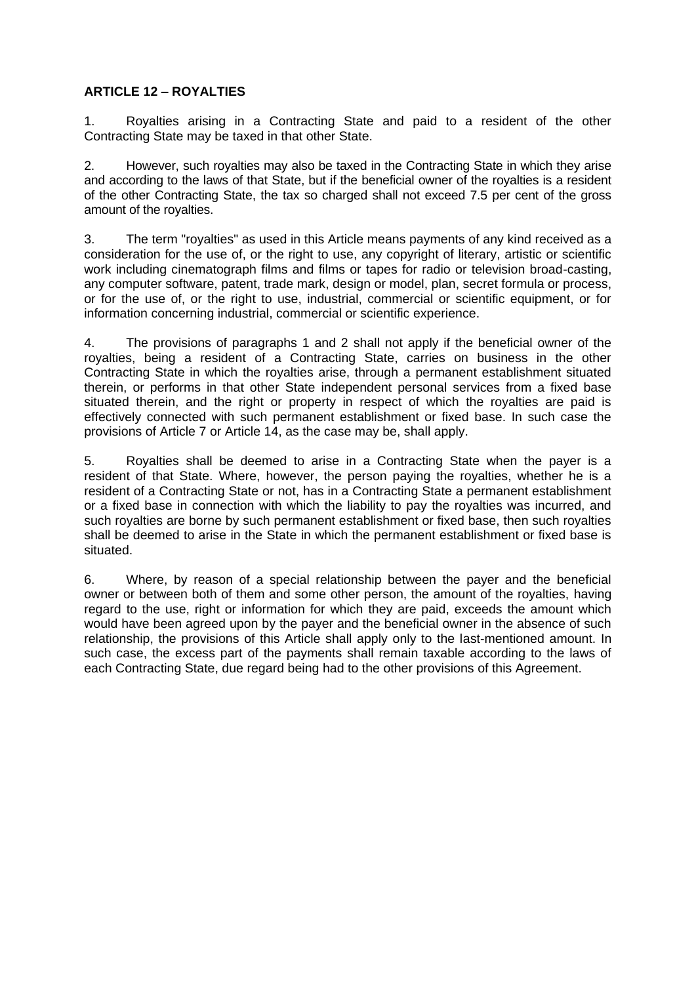## **ARTICLE 12 – ROYALTIES**

1. Royalties arising in a Contracting State and paid to a resident of the other Contracting State may be taxed in that other State.

2. However, such royalties may also be taxed in the Contracting State in which they arise and according to the laws of that State, but if the beneficial owner of the royalties is a resident of the other Contracting State, the tax so charged shall not exceed 7.5 per cent of the gross amount of the royalties.

3. The term "royalties" as used in this Article means payments of any kind received as a consideration for the use of, or the right to use, any copyright of literary, artistic or scientific work including cinematograph films and films or tapes for radio or television broad-casting, any computer software, patent, trade mark, design or model, plan, secret formula or process, or for the use of, or the right to use, industrial, commercial or scientific equipment, or for information concerning industrial, commercial or scientific experience.

4. The provisions of paragraphs 1 and 2 shall not apply if the beneficial owner of the royalties, being a resident of a Contracting State, carries on business in the other Contracting State in which the royalties arise, through a permanent establishment situated therein, or performs in that other State independent personal services from a fixed base situated therein, and the right or property in respect of which the royalties are paid is effectively connected with such permanent establishment or fixed base. In such case the provisions of Article 7 or Article 14, as the case may be, shall apply.

5. Royalties shall be deemed to arise in a Contracting State when the payer is a resident of that State. Where, however, the person paying the royalties, whether he is a resident of a Contracting State or not, has in a Contracting State a permanent establishment or a fixed base in connection with which the liability to pay the royalties was incurred, and such royalties are borne by such permanent establishment or fixed base, then such royalties shall be deemed to arise in the State in which the permanent establishment or fixed base is situated.

6. Where, by reason of a special relationship between the payer and the beneficial owner or between both of them and some other person, the amount of the royalties, having regard to the use, right or information for which they are paid, exceeds the amount which would have been agreed upon by the payer and the beneficial owner in the absence of such relationship, the provisions of this Article shall apply only to the last-mentioned amount. In such case, the excess part of the payments shall remain taxable according to the laws of each Contracting State, due regard being had to the other provisions of this Agreement.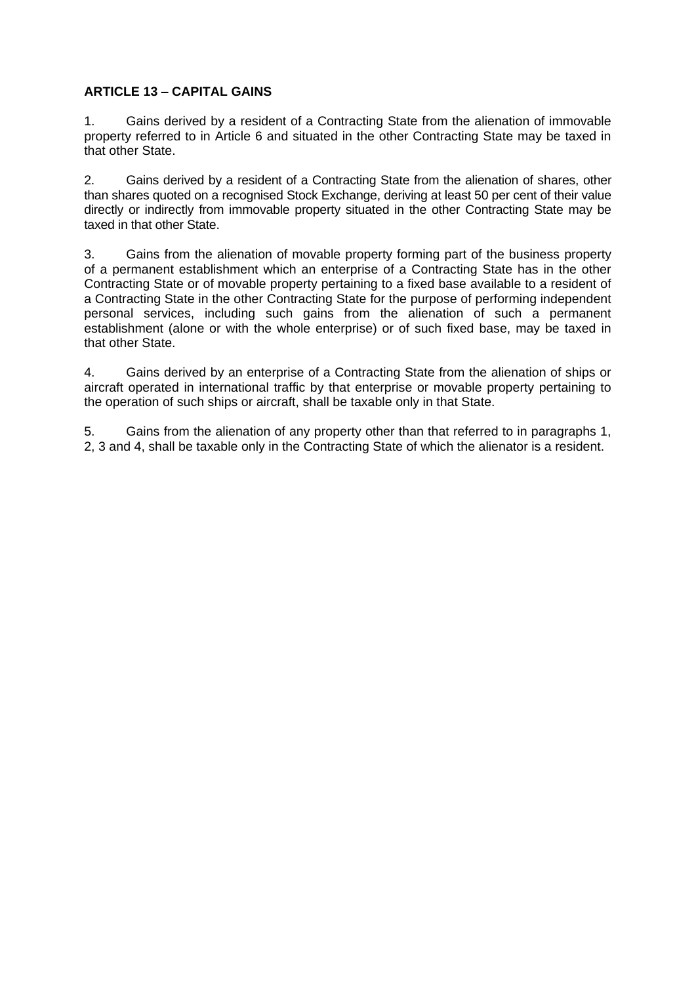## **ARTICLE 13 – CAPITAL GAINS**

1. Gains derived by a resident of a Contracting State from the alienation of immovable property referred to in Article 6 and situated in the other Contracting State may be taxed in that other State.

2. Gains derived by a resident of a Contracting State from the alienation of shares, other than shares quoted on a recognised Stock Exchange, deriving at least 50 per cent of their value directly or indirectly from immovable property situated in the other Contracting State may be taxed in that other State.

3. Gains from the alienation of movable property forming part of the business property of a permanent establishment which an enterprise of a Contracting State has in the other Contracting State or of movable property pertaining to a fixed base available to a resident of a Contracting State in the other Contracting State for the purpose of performing independent personal services, including such gains from the alienation of such a permanent establishment (alone or with the whole enterprise) or of such fixed base, may be taxed in that other State.

4. Gains derived by an enterprise of a Contracting State from the alienation of ships or aircraft operated in international traffic by that enterprise or movable property pertaining to the operation of such ships or aircraft, shall be taxable only in that State.

5. Gains from the alienation of any property other than that referred to in paragraphs 1, 2, 3 and 4, shall be taxable only in the Contracting State of which the alienator is a resident.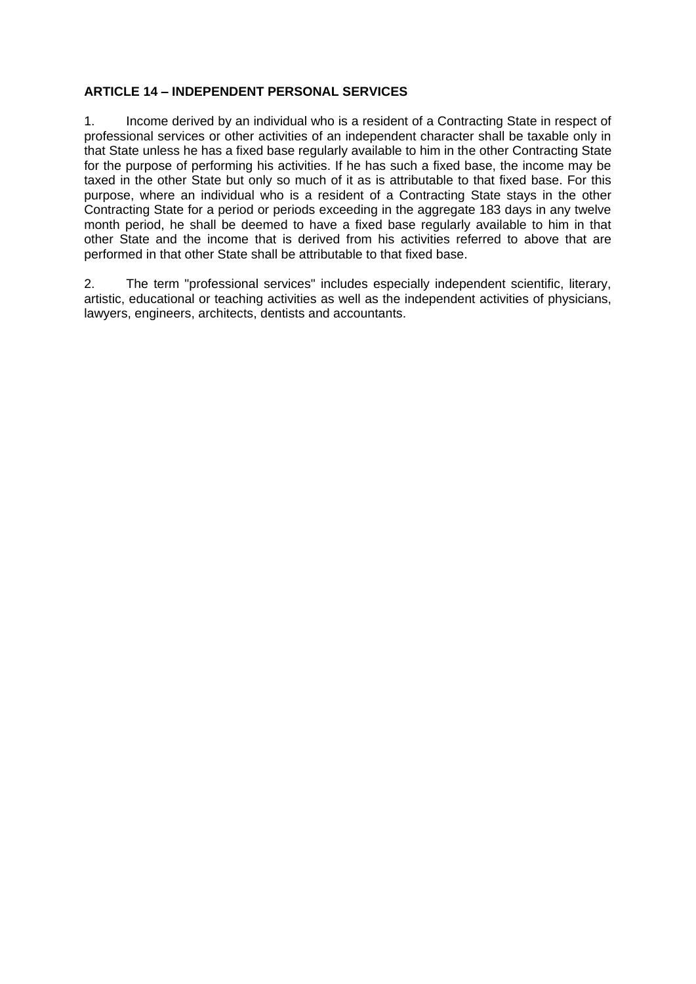#### **ARTICLE 14 – INDEPENDENT PERSONAL SERVICES**

1. Income derived by an individual who is a resident of a Contracting State in respect of professional services or other activities of an independent character shall be taxable only in that State unless he has a fixed base regularly available to him in the other Contracting State for the purpose of performing his activities. If he has such a fixed base, the income may be taxed in the other State but only so much of it as is attributable to that fixed base. For this purpose, where an individual who is a resident of a Contracting State stays in the other Contracting State for a period or periods exceeding in the aggregate 183 days in any twelve month period, he shall be deemed to have a fixed base regularly available to him in that other State and the income that is derived from his activities referred to above that are performed in that other State shall be attributable to that fixed base.

2. The term "professional services" includes especially independent scientific, literary, artistic, educational or teaching activities as well as the independent activities of physicians, lawyers, engineers, architects, dentists and accountants.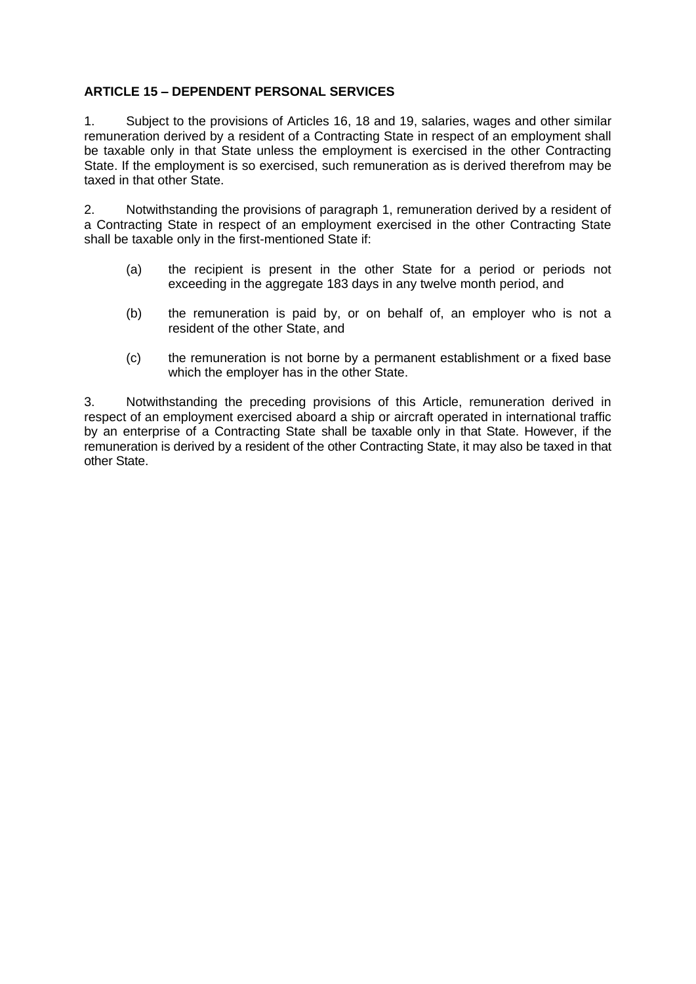## **ARTICLE 15 – DEPENDENT PERSONAL SERVICES**

1. Subject to the provisions of Articles 16, 18 and 19, salaries, wages and other similar remuneration derived by a resident of a Contracting State in respect of an employment shall be taxable only in that State unless the employment is exercised in the other Contracting State. If the employment is so exercised, such remuneration as is derived therefrom may be taxed in that other State.

2. Notwithstanding the provisions of paragraph 1, remuneration derived by a resident of a Contracting State in respect of an employment exercised in the other Contracting State shall be taxable only in the first-mentioned State if:

- (a) the recipient is present in the other State for a period or periods not exceeding in the aggregate 183 days in any twelve month period, and
- (b) the remuneration is paid by, or on behalf of, an employer who is not a resident of the other State, and
- (c) the remuneration is not borne by a permanent establishment or a fixed base which the employer has in the other State.

3. Notwithstanding the preceding provisions of this Article, remuneration derived in respect of an employment exercised aboard a ship or aircraft operated in international traffic by an enterprise of a Contracting State shall be taxable only in that State. However, if the remuneration is derived by a resident of the other Contracting State, it may also be taxed in that other State.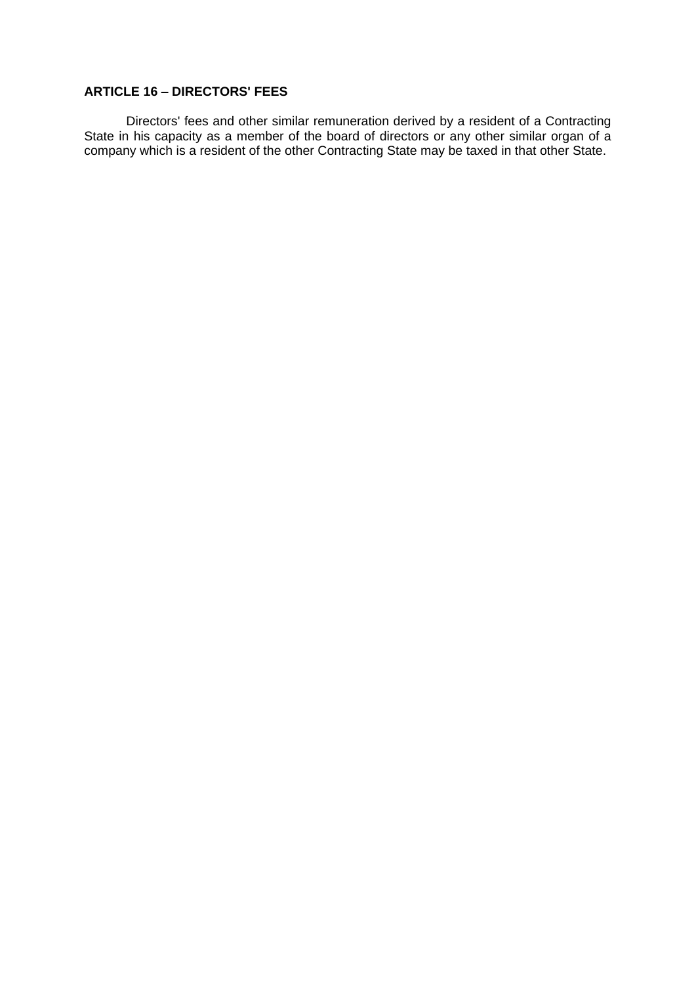## **ARTICLE 16 – DIRECTORS' FEES**

Directors' fees and other similar remuneration derived by a resident of a Contracting State in his capacity as a member of the board of directors or any other similar organ of a company which is a resident of the other Contracting State may be taxed in that other State.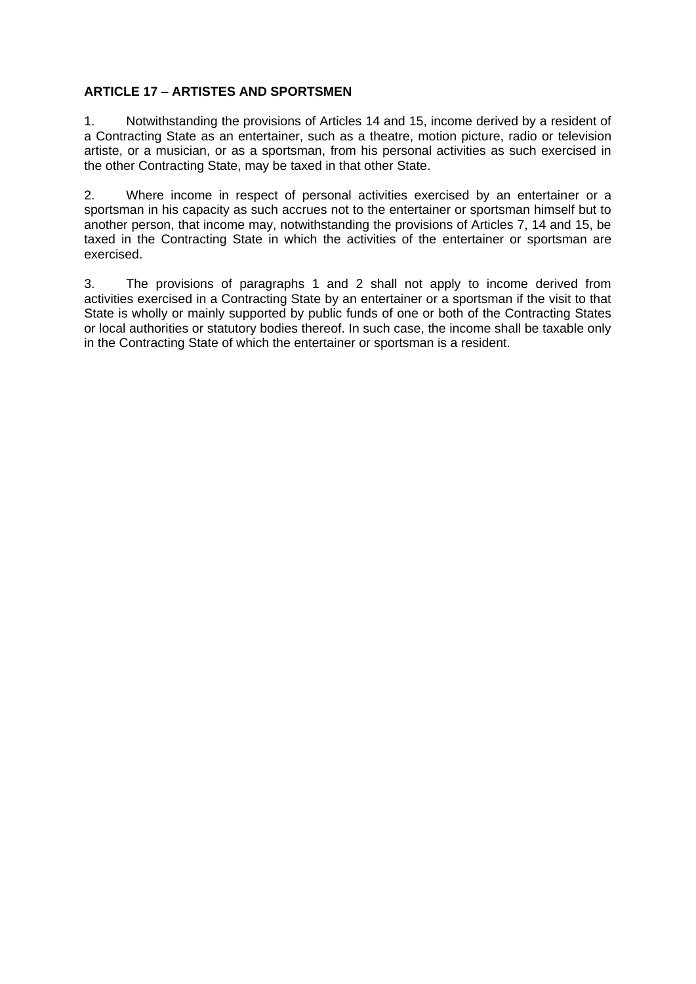## **ARTICLE 17 – ARTISTES AND SPORTSMEN**

1. Notwithstanding the provisions of Articles 14 and 15, income derived by a resident of a Contracting State as an entertainer, such as a theatre, motion picture, radio or television artiste, or a musician, or as a sportsman, from his personal activities as such exercised in the other Contracting State, may be taxed in that other State.

2. Where income in respect of personal activities exercised by an entertainer or a sportsman in his capacity as such accrues not to the entertainer or sportsman himself but to another person, that income may, notwithstanding the provisions of Articles 7, 14 and 15, be taxed in the Contracting State in which the activities of the entertainer or sportsman are exercised.

3. The provisions of paragraphs 1 and 2 shall not apply to income derived from activities exercised in a Contracting State by an entertainer or a sportsman if the visit to that State is wholly or mainly supported by public funds of one or both of the Contracting States or local authorities or statutory bodies thereof. In such case, the income shall be taxable only in the Contracting State of which the entertainer or sportsman is a resident.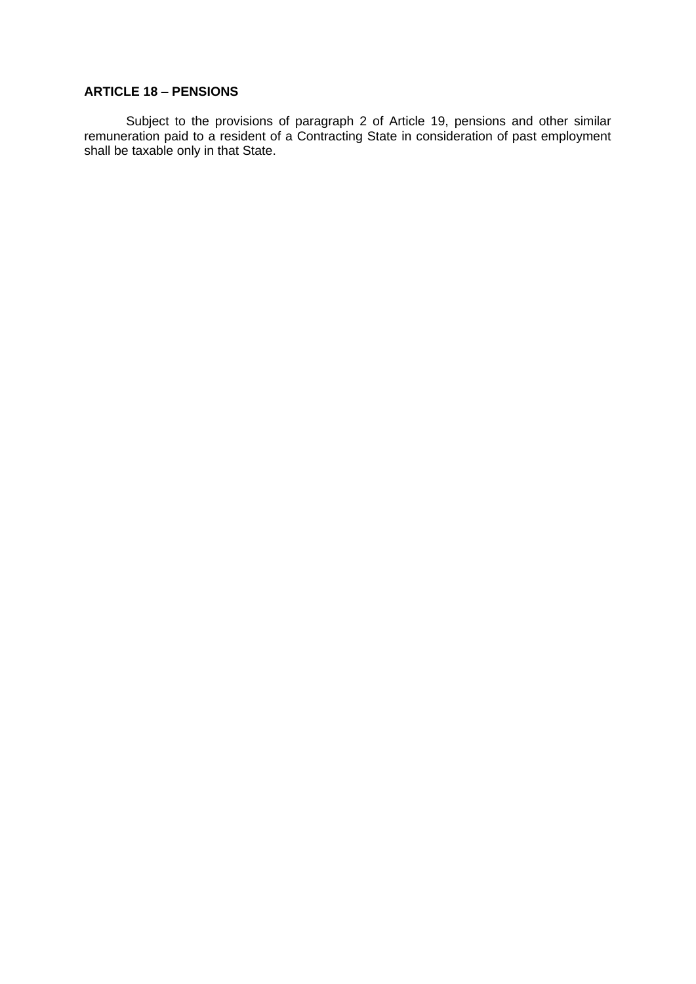## **ARTICLE 18 – PENSIONS**

Subject to the provisions of paragraph 2 of Article 19, pensions and other similar remuneration paid to a resident of a Contracting State in consideration of past employment shall be taxable only in that State.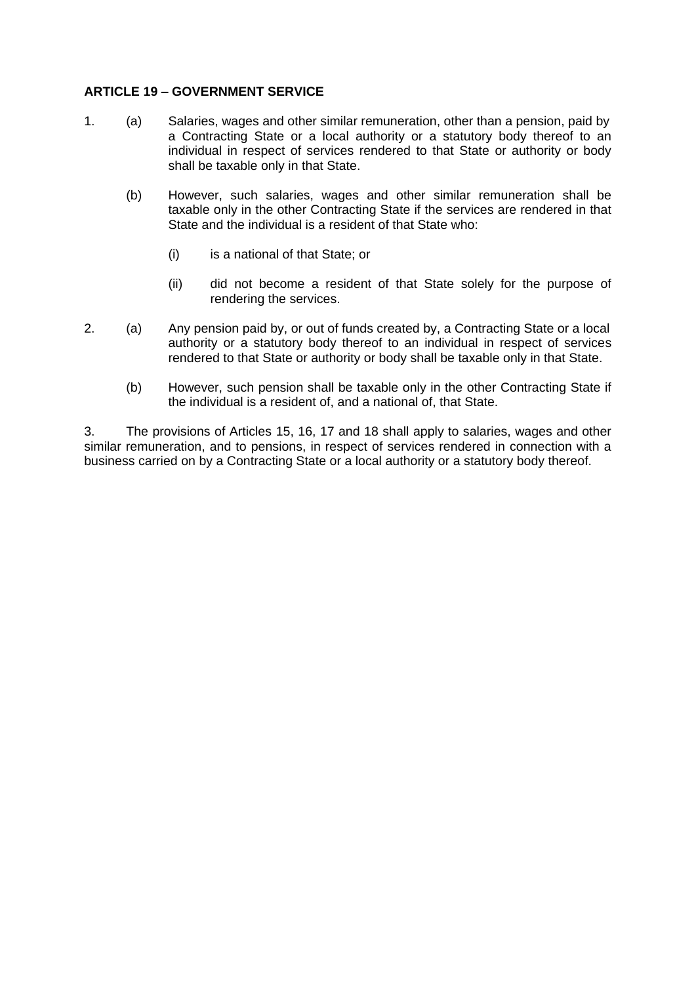### **ARTICLE 19 – GOVERNMENT SERVICE**

- 1. (a) Salaries, wages and other similar remuneration, other than a pension, paid by a Contracting State or a local authority or a statutory body thereof to an individual in respect of services rendered to that State or authority or body shall be taxable only in that State.
	- (b) However, such salaries, wages and other similar remuneration shall be taxable only in the other Contracting State if the services are rendered in that State and the individual is a resident of that State who:
		- (i) is a national of that State; or
		- (ii) did not become a resident of that State solely for the purpose of rendering the services.
- 2. (a) Any pension paid by, or out of funds created by, a Contracting State or a local authority or a statutory body thereof to an individual in respect of services rendered to that State or authority or body shall be taxable only in that State.
	- (b) However, such pension shall be taxable only in the other Contracting State if the individual is a resident of, and a national of, that State.

3. The provisions of Articles 15, 16, 17 and 18 shall apply to salaries, wages and other similar remuneration, and to pensions, in respect of services rendered in connection with a business carried on by a Contracting State or a local authority or a statutory body thereof.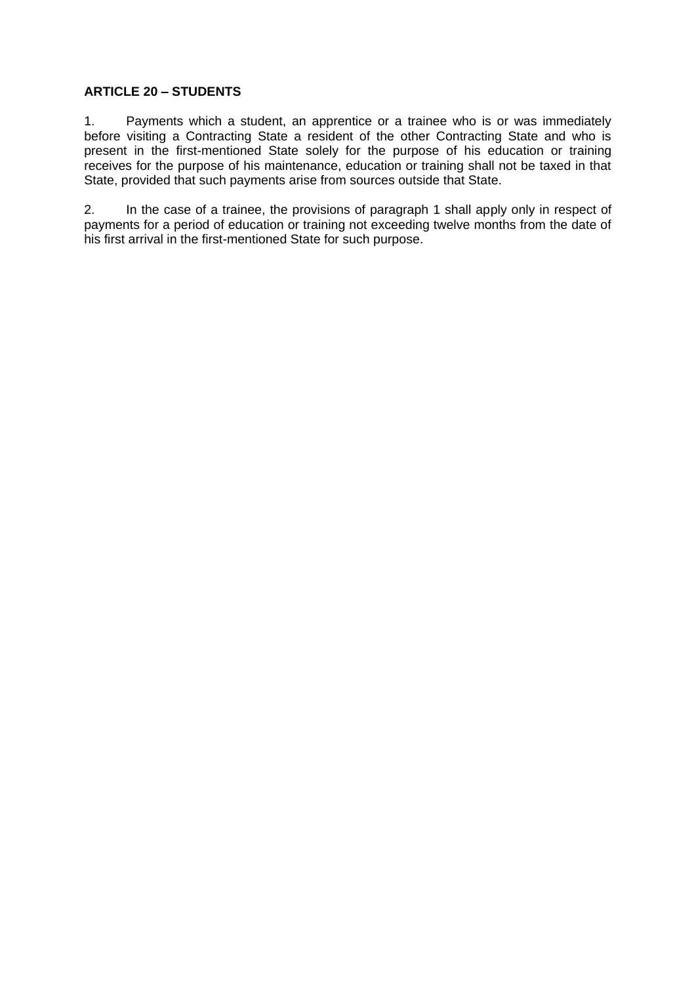#### **ARTICLE 20 – STUDENTS**

1. Payments which a student, an apprentice or a trainee who is or was immediately before visiting a Contracting State a resident of the other Contracting State and who is present in the first-mentioned State solely for the purpose of his education or training receives for the purpose of his maintenance, education or training shall not be taxed in that State, provided that such payments arise from sources outside that State.

2. In the case of a trainee, the provisions of paragraph 1 shall apply only in respect of payments for a period of education or training not exceeding twelve months from the date of his first arrival in the first-mentioned State for such purpose.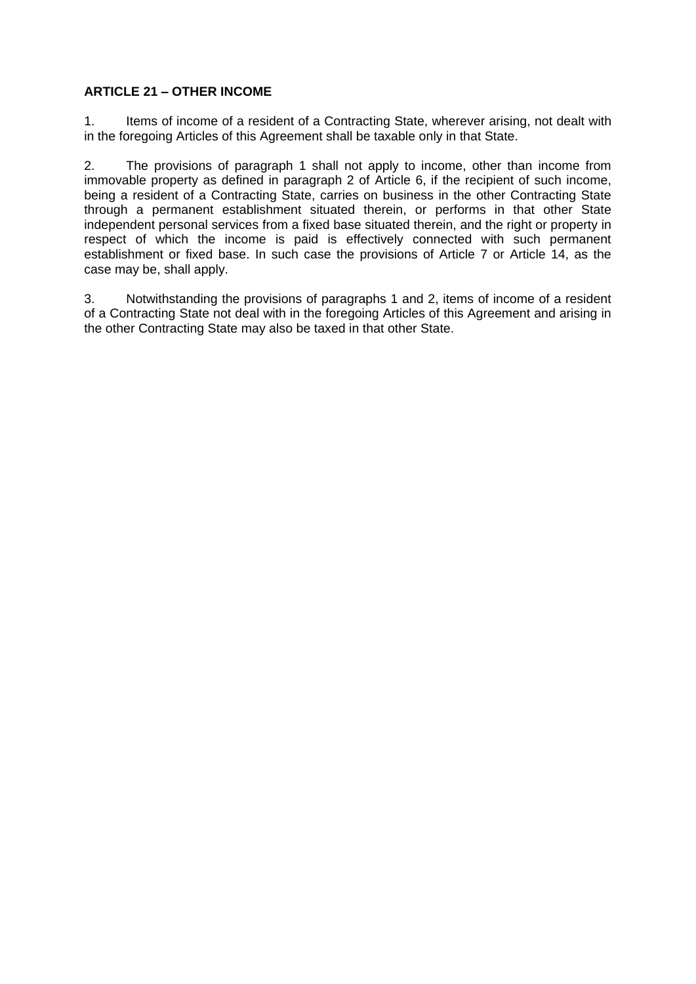## **ARTICLE 21 – OTHER INCOME**

1. Items of income of a resident of a Contracting State, wherever arising, not dealt with in the foregoing Articles of this Agreement shall be taxable only in that State.

2. The provisions of paragraph 1 shall not apply to income, other than income from immovable property as defined in paragraph 2 of Article 6, if the recipient of such income, being a resident of a Contracting State, carries on business in the other Contracting State through a permanent establishment situated therein, or performs in that other State independent personal services from a fixed base situated therein, and the right or property in respect of which the income is paid is effectively connected with such permanent establishment or fixed base. In such case the provisions of Article 7 or Article 14, as the case may be, shall apply.

3. Notwithstanding the provisions of paragraphs 1 and 2, items of income of a resident of a Contracting State not deal with in the foregoing Articles of this Agreement and arising in the other Contracting State may also be taxed in that other State.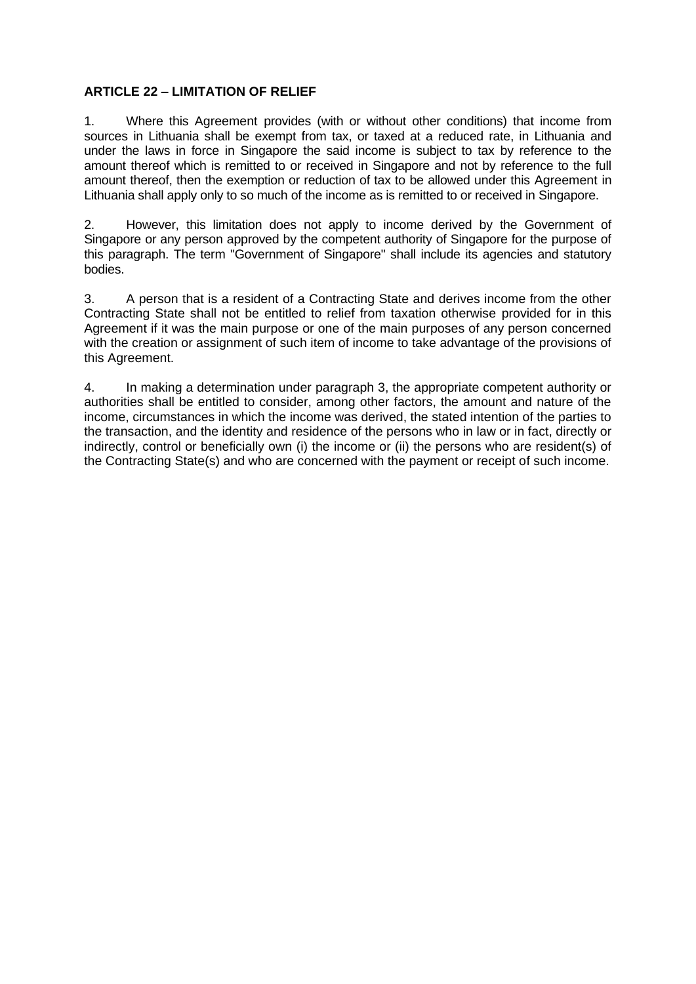### **ARTICLE 22 – LIMITATION OF RELIEF**

1. Where this Agreement provides (with or without other conditions) that income from sources in Lithuania shall be exempt from tax, or taxed at a reduced rate, in Lithuania and under the laws in force in Singapore the said income is subject to tax by reference to the amount thereof which is remitted to or received in Singapore and not by reference to the full amount thereof, then the exemption or reduction of tax to be allowed under this Agreement in Lithuania shall apply only to so much of the income as is remitted to or received in Singapore.

2. However, this limitation does not apply to income derived by the Government of Singapore or any person approved by the competent authority of Singapore for the purpose of this paragraph. The term "Government of Singapore" shall include its agencies and statutory bodies.

3. A person that is a resident of a Contracting State and derives income from the other Contracting State shall not be entitled to relief from taxation otherwise provided for in this Agreement if it was the main purpose or one of the main purposes of any person concerned with the creation or assignment of such item of income to take advantage of the provisions of this Agreement.

4. In making a determination under paragraph 3, the appropriate competent authority or authorities shall be entitled to consider, among other factors, the amount and nature of the income, circumstances in which the income was derived, the stated intention of the parties to the transaction, and the identity and residence of the persons who in law or in fact, directly or indirectly, control or beneficially own (i) the income or (ii) the persons who are resident(s) of the Contracting State(s) and who are concerned with the payment or receipt of such income.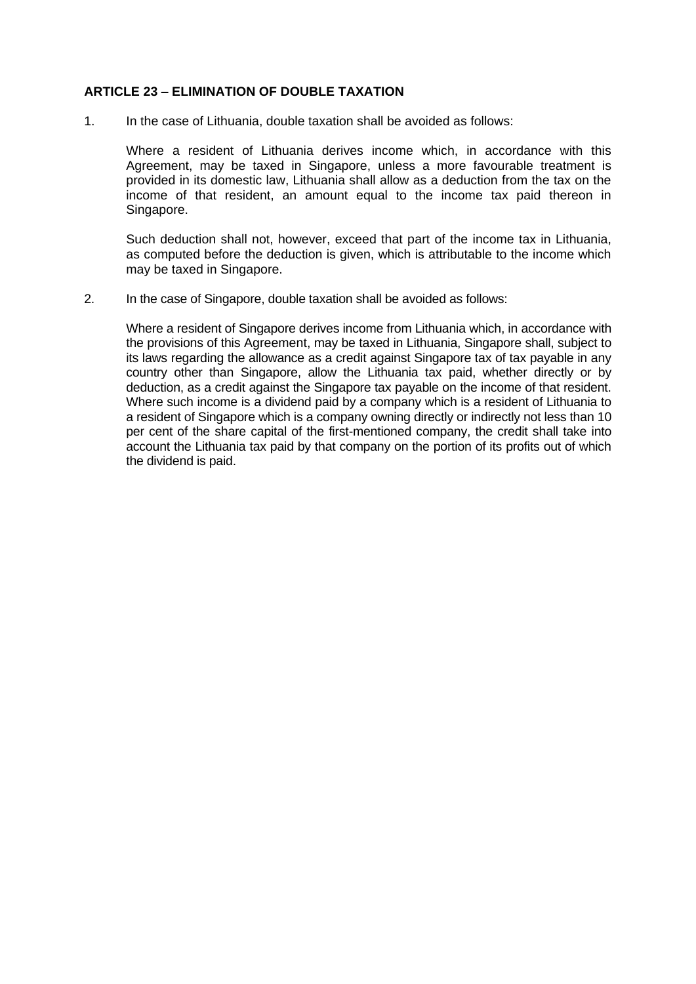#### **ARTICLE 23 – ELIMINATION OF DOUBLE TAXATION**

1. In the case of Lithuania, double taxation shall be avoided as follows:

Where a resident of Lithuania derives income which, in accordance with this Agreement, may be taxed in Singapore, unless a more favourable treatment is provided in its domestic law, Lithuania shall allow as a deduction from the tax on the income of that resident, an amount equal to the income tax paid thereon in Singapore.

Such deduction shall not, however, exceed that part of the income tax in Lithuania, as computed before the deduction is given, which is attributable to the income which may be taxed in Singapore.

2. In the case of Singapore, double taxation shall be avoided as follows:

Where a resident of Singapore derives income from Lithuania which, in accordance with the provisions of this Agreement, may be taxed in Lithuania, Singapore shall, subject to its laws regarding the allowance as a credit against Singapore tax of tax payable in any country other than Singapore, allow the Lithuania tax paid, whether directly or by deduction, as a credit against the Singapore tax payable on the income of that resident. Where such income is a dividend paid by a company which is a resident of Lithuania to a resident of Singapore which is a company owning directly or indirectly not less than 10 per cent of the share capital of the first-mentioned company, the credit shall take into account the Lithuania tax paid by that company on the portion of its profits out of which the dividend is paid.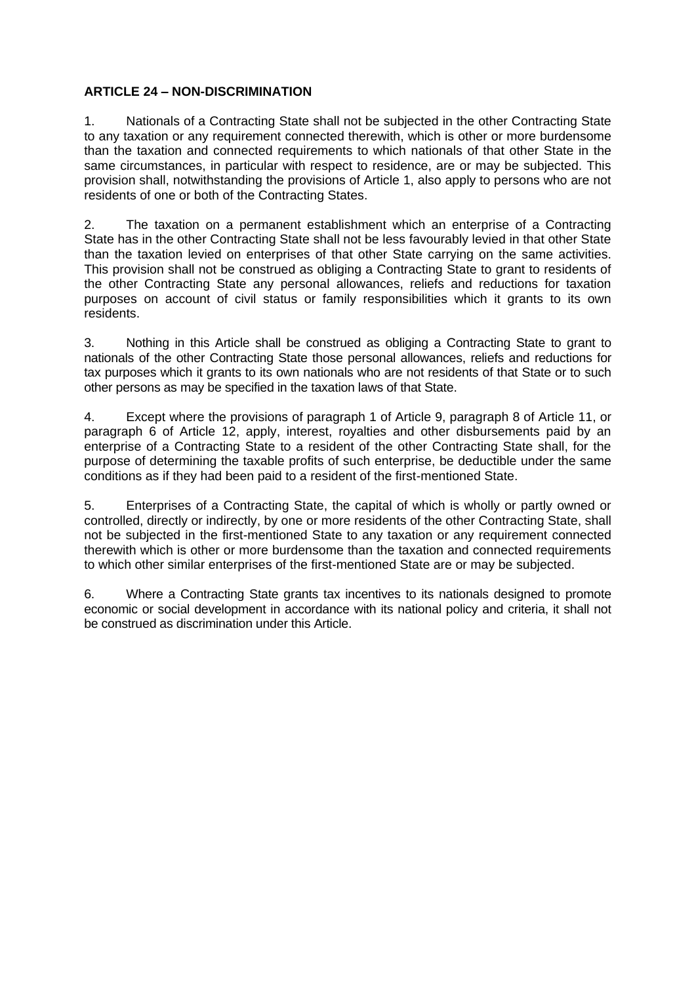## **ARTICLE 24 – NON-DISCRIMINATION**

1. Nationals of a Contracting State shall not be subjected in the other Contracting State to any taxation or any requirement connected therewith, which is other or more burdensome than the taxation and connected requirements to which nationals of that other State in the same circumstances, in particular with respect to residence, are or may be subjected. This provision shall, notwithstanding the provisions of Article 1, also apply to persons who are not residents of one or both of the Contracting States.

2. The taxation on a permanent establishment which an enterprise of a Contracting State has in the other Contracting State shall not be less favourably levied in that other State than the taxation levied on enterprises of that other State carrying on the same activities. This provision shall not be construed as obliging a Contracting State to grant to residents of the other Contracting State any personal allowances, reliefs and reductions for taxation purposes on account of civil status or family responsibilities which it grants to its own residents.

3. Nothing in this Article shall be construed as obliging a Contracting State to grant to nationals of the other Contracting State those personal allowances, reliefs and reductions for tax purposes which it grants to its own nationals who are not residents of that State or to such other persons as may be specified in the taxation laws of that State.

4. Except where the provisions of paragraph 1 of Article 9, paragraph 8 of Article 11, or paragraph 6 of Article 12, apply, interest, royalties and other disbursements paid by an enterprise of a Contracting State to a resident of the other Contracting State shall, for the purpose of determining the taxable profits of such enterprise, be deductible under the same conditions as if they had been paid to a resident of the first-mentioned State.

5. Enterprises of a Contracting State, the capital of which is wholly or partly owned or controlled, directly or indirectly, by one or more residents of the other Contracting State, shall not be subjected in the first-mentioned State to any taxation or any requirement connected therewith which is other or more burdensome than the taxation and connected requirements to which other similar enterprises of the first-mentioned State are or may be subjected.

6. Where a Contracting State grants tax incentives to its nationals designed to promote economic or social development in accordance with its national policy and criteria, it shall not be construed as discrimination under this Article.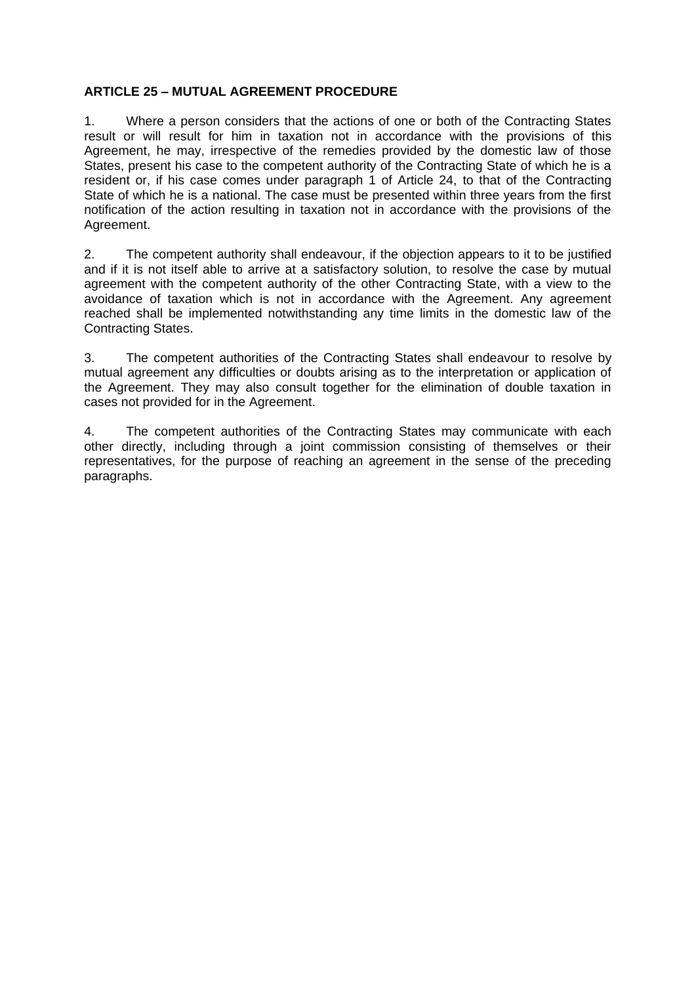## **ARTICLE 25 – MUTUAL AGREEMENT PROCEDURE**

1. Where a person considers that the actions of one or both of the Contracting States result or will result for him in taxation not in accordance with the provisions of this Agreement, he may, irrespective of the remedies provided by the domestic law of those States, present his case to the competent authority of the Contracting State of which he is a resident or, if his case comes under paragraph 1 of Article 24, to that of the Contracting State of which he is a national. The case must be presented within three years from the first notification of the action resulting in taxation not in accordance with the provisions of the Agreement.

2. The competent authority shall endeavour, if the objection appears to it to be justified and if it is not itself able to arrive at a satisfactory solution, to resolve the case by mutual agreement with the competent authority of the other Contracting State, with a view to the avoidance of taxation which is not in accordance with the Agreement. Any agreement reached shall be implemented notwithstanding any time limits in the domestic law of the Contracting States.

3. The competent authorities of the Contracting States shall endeavour to resolve by mutual agreement any difficulties or doubts arising as to the interpretation or application of the Agreement. They may also consult together for the elimination of double taxation in cases not provided for in the Agreement.

4. The competent authorities of the Contracting States may communicate with each other directly, including through a joint commission consisting of themselves or their representatives, for the purpose of reaching an agreement in the sense of the preceding paragraphs.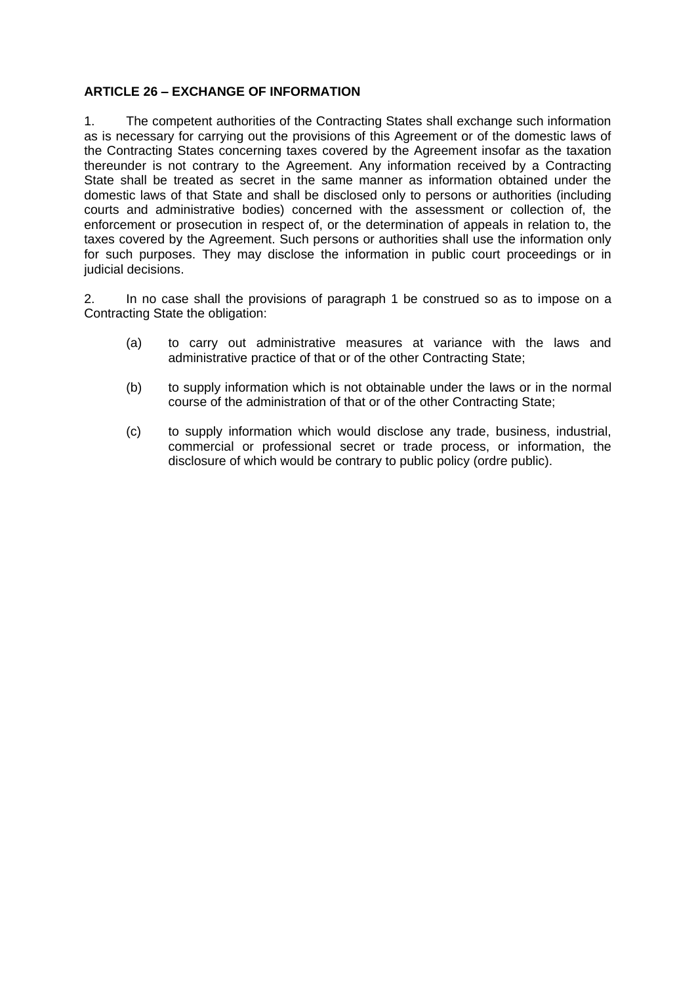## **ARTICLE 26 – EXCHANGE OF INFORMATION**

1. The competent authorities of the Contracting States shall exchange such information as is necessary for carrying out the provisions of this Agreement or of the domestic laws of the Contracting States concerning taxes covered by the Agreement insofar as the taxation thereunder is not contrary to the Agreement. Any information received by a Contracting State shall be treated as secret in the same manner as information obtained under the domestic laws of that State and shall be disclosed only to persons or authorities (including courts and administrative bodies) concerned with the assessment or collection of, the enforcement or prosecution in respect of, or the determination of appeals in relation to, the taxes covered by the Agreement. Such persons or authorities shall use the information only for such purposes. They may disclose the information in public court proceedings or in judicial decisions.

2. In no case shall the provisions of paragraph 1 be construed so as to impose on a Contracting State the obligation:

- (a) to carry out administrative measures at variance with the laws and administrative practice of that or of the other Contracting State;
- (b) to supply information which is not obtainable under the laws or in the normal course of the administration of that or of the other Contracting State;
- (c) to supply information which would disclose any trade, business, industrial, commercial or professional secret or trade process, or information, the disclosure of which would be contrary to public policy (ordre public).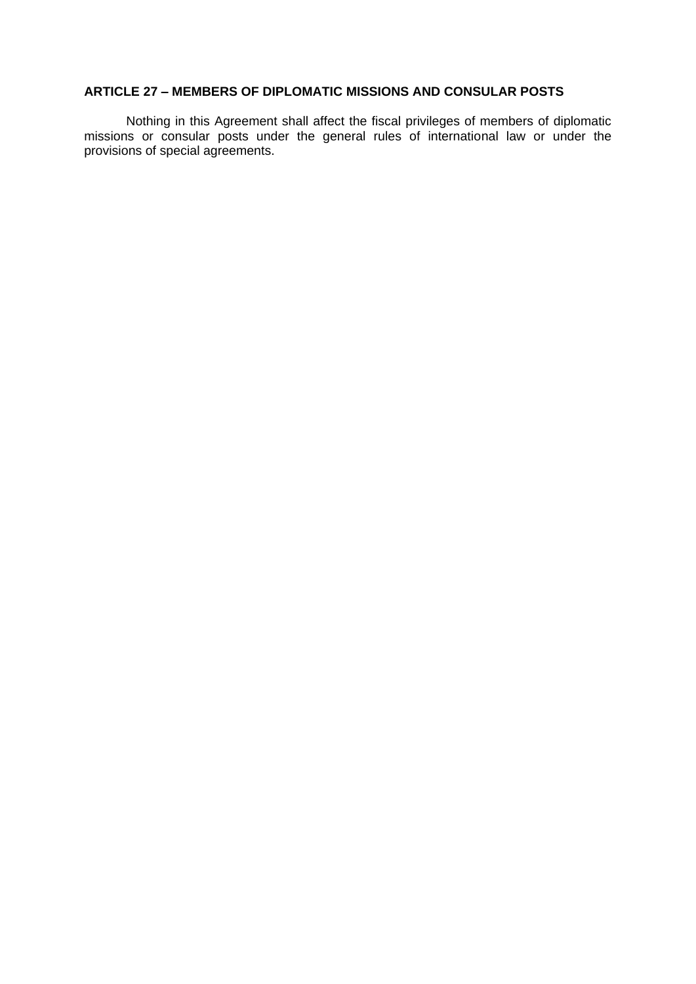### **ARTICLE 27 – MEMBERS OF DIPLOMATIC MISSIONS AND CONSULAR POSTS**

Nothing in this Agreement shall affect the fiscal privileges of members of diplomatic missions or consular posts under the general rules of international law or under the provisions of special agreements.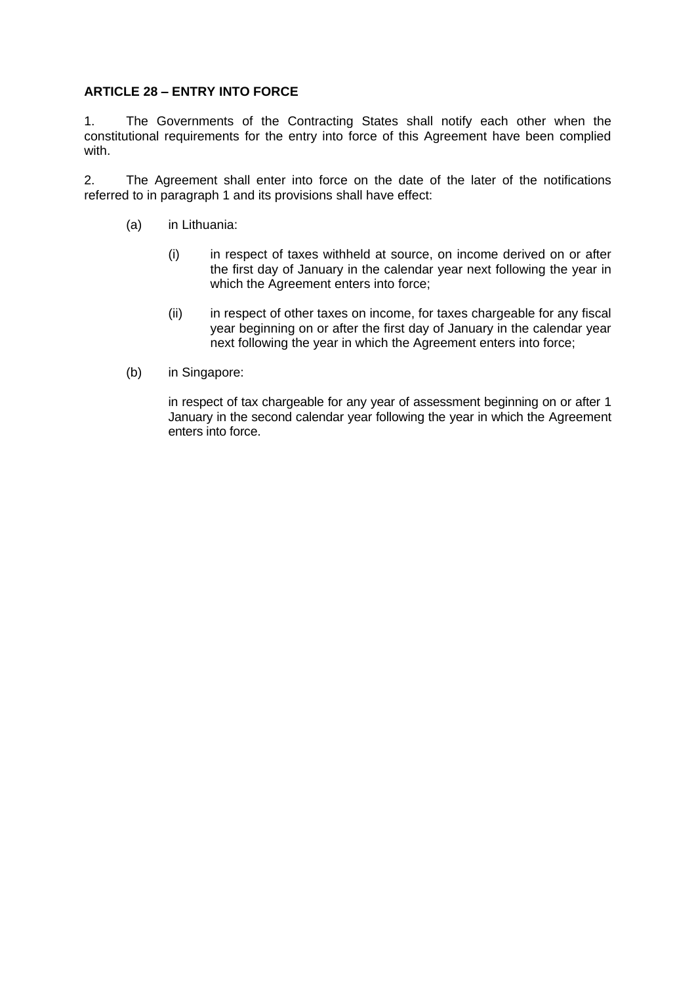## **ARTICLE 28 – ENTRY INTO FORCE**

1. The Governments of the Contracting States shall notify each other when the constitutional requirements for the entry into force of this Agreement have been complied with.

2. The Agreement shall enter into force on the date of the later of the notifications referred to in paragraph 1 and its provisions shall have effect:

- (a) in Lithuania:
	- (i) in respect of taxes withheld at source, on income derived on or after the first day of January in the calendar year next following the year in which the Agreement enters into force;
	- (ii) in respect of other taxes on income, for taxes chargeable for any fiscal year beginning on or after the first day of January in the calendar year next following the year in which the Agreement enters into force;
- (b) in Singapore:

in respect of tax chargeable for any year of assessment beginning on or after 1 January in the second calendar year following the year in which the Agreement enters into force.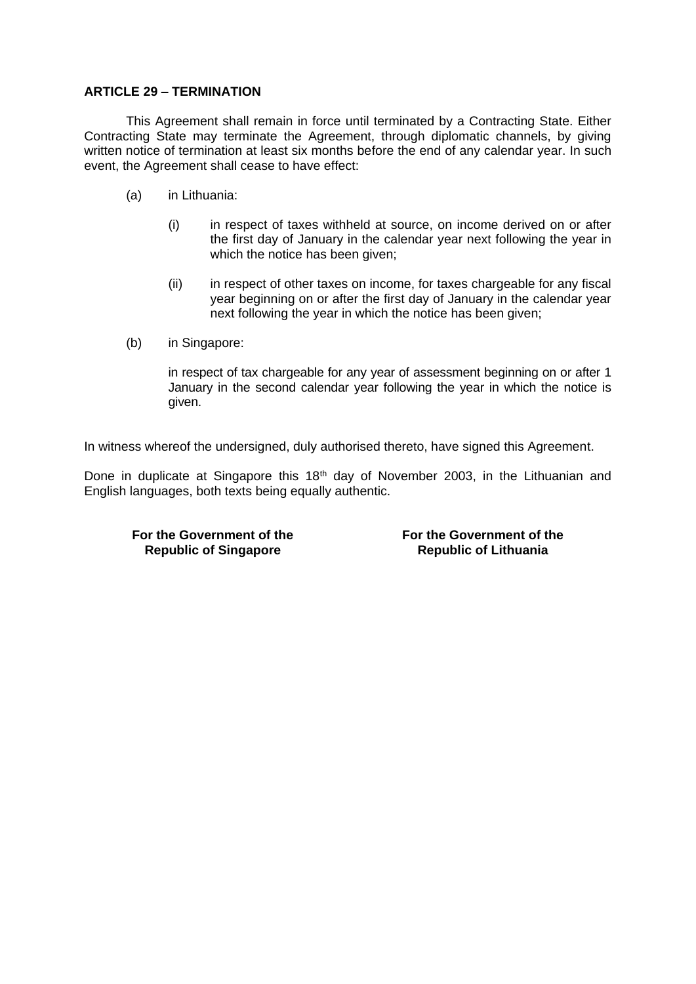#### **ARTICLE 29 – TERMINATION**

This Agreement shall remain in force until terminated by a Contracting State. Either Contracting State may terminate the Agreement, through diplomatic channels, by giving written notice of termination at least six months before the end of any calendar year. In such event, the Agreement shall cease to have effect:

- (a) in Lithuania:
	- (i) in respect of taxes withheld at source, on income derived on or after the first day of January in the calendar year next following the year in which the notice has been given;
	- (ii) in respect of other taxes on income, for taxes chargeable for any fiscal year beginning on or after the first day of January in the calendar year next following the year in which the notice has been given;
- (b) in Singapore:

in respect of tax chargeable for any year of assessment beginning on or after 1 January in the second calendar year following the year in which the notice is given.

In witness whereof the undersigned, duly authorised thereto, have signed this Agreement.

Done in duplicate at Singapore this  $18<sup>th</sup>$  day of November 2003, in the Lithuanian and English languages, both texts being equally authentic.

**For the Government of the Republic of Singapore**

**For the Government of the Republic of Lithuania**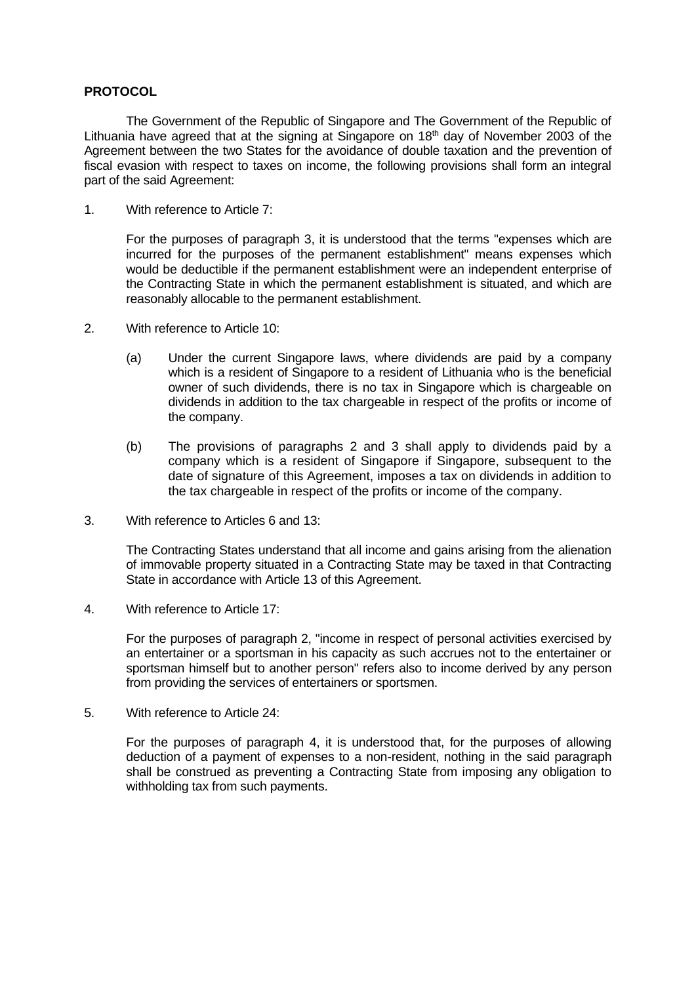#### **PROTOCOL**

The Government of the Republic of Singapore and The Government of the Republic of Lithuania have agreed that at the signing at Singapore on 18<sup>th</sup> day of November 2003 of the Agreement between the two States for the avoidance of double taxation and the prevention of fiscal evasion with respect to taxes on income, the following provisions shall form an integral part of the said Agreement:

1. With reference to Article 7:

For the purposes of paragraph 3, it is understood that the terms "expenses which are incurred for the purposes of the permanent establishment" means expenses which would be deductible if the permanent establishment were an independent enterprise of the Contracting State in which the permanent establishment is situated, and which are reasonably allocable to the permanent establishment.

- 2. With reference to Article 10:
	- (a) Under the current Singapore laws, where dividends are paid by a company which is a resident of Singapore to a resident of Lithuania who is the beneficial owner of such dividends, there is no tax in Singapore which is chargeable on dividends in addition to the tax chargeable in respect of the profits or income of the company.
	- (b) The provisions of paragraphs 2 and 3 shall apply to dividends paid by a company which is a resident of Singapore if Singapore, subsequent to the date of signature of this Agreement, imposes a tax on dividends in addition to the tax chargeable in respect of the profits or income of the company.
- 3. With reference to Articles 6 and 13:

The Contracting States understand that all income and gains arising from the alienation of immovable property situated in a Contracting State may be taxed in that Contracting State in accordance with Article 13 of this Agreement.

4. With reference to Article 17:

For the purposes of paragraph 2, "income in respect of personal activities exercised by an entertainer or a sportsman in his capacity as such accrues not to the entertainer or sportsman himself but to another person" refers also to income derived by any person from providing the services of entertainers or sportsmen.

5. With reference to Article 24:

For the purposes of paragraph 4, it is understood that, for the purposes of allowing deduction of a payment of expenses to a non-resident, nothing in the said paragraph shall be construed as preventing a Contracting State from imposing any obligation to withholding tax from such payments.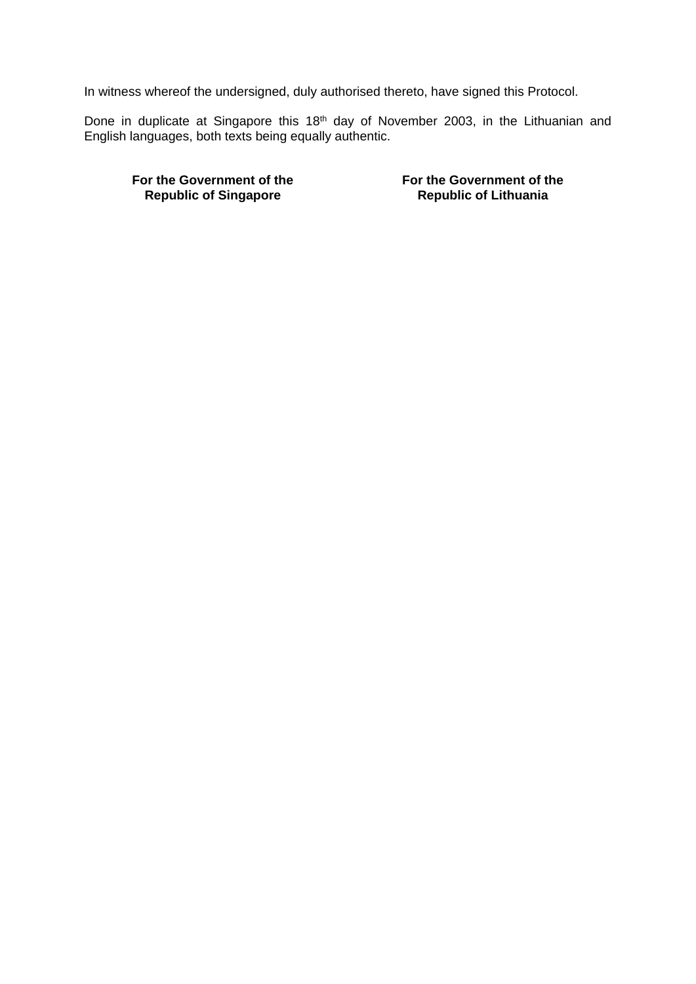In witness whereof the undersigned, duly authorised thereto, have signed this Protocol.

Done in duplicate at Singapore this 18<sup>th</sup> day of November 2003, in the Lithuanian and English languages, both texts being equally authentic.

**For the Government of the Republic of Singapore**

**For the Government of the Republic of Lithuania**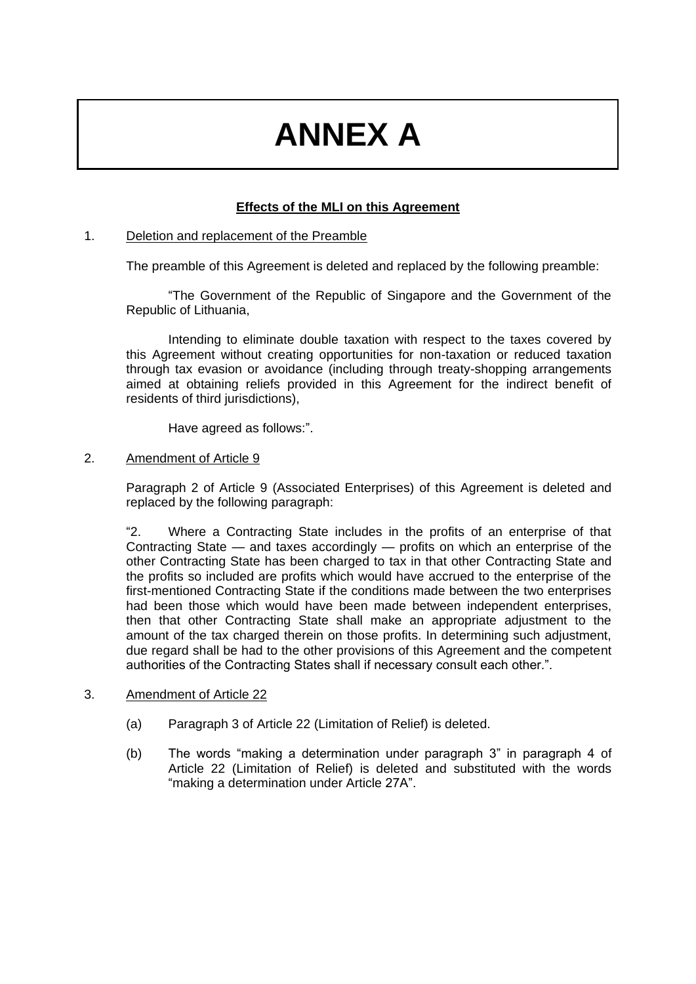# **ANNEX A**

## **Effects of the MLI on this Agreement**

#### 1. Deletion and replacement of the Preamble

The preamble of this Agreement is deleted and replaced by the following preamble:

"The Government of the Republic of Singapore and the Government of the Republic of Lithuania,

Intending to eliminate double taxation with respect to the taxes covered by this Agreement without creating opportunities for non-taxation or reduced taxation through tax evasion or avoidance (including through treaty-shopping arrangements aimed at obtaining reliefs provided in this Agreement for the indirect benefit of residents of third jurisdictions),

Have agreed as follows:".

#### 2. Amendment of Article 9

Paragraph 2 of Article 9 (Associated Enterprises) of this Agreement is deleted and replaced by the following paragraph:

"2. Where a Contracting State includes in the profits of an enterprise of that Contracting State — and taxes accordingly — profits on which an enterprise of the other Contracting State has been charged to tax in that other Contracting State and the profits so included are profits which would have accrued to the enterprise of the first-mentioned Contracting State if the conditions made between the two enterprises had been those which would have been made between independent enterprises, then that other Contracting State shall make an appropriate adjustment to the amount of the tax charged therein on those profits. In determining such adjustment, due regard shall be had to the other provisions of this Agreement and the competent authorities of the Contracting States shall if necessary consult each other.".

#### 3. Amendment of Article 22

- (a) Paragraph 3 of Article 22 (Limitation of Relief) is deleted.
- (b) The words "making a determination under paragraph 3" in paragraph 4 of Article 22 (Limitation of Relief) is deleted and substituted with the words "making a determination under Article 27A".